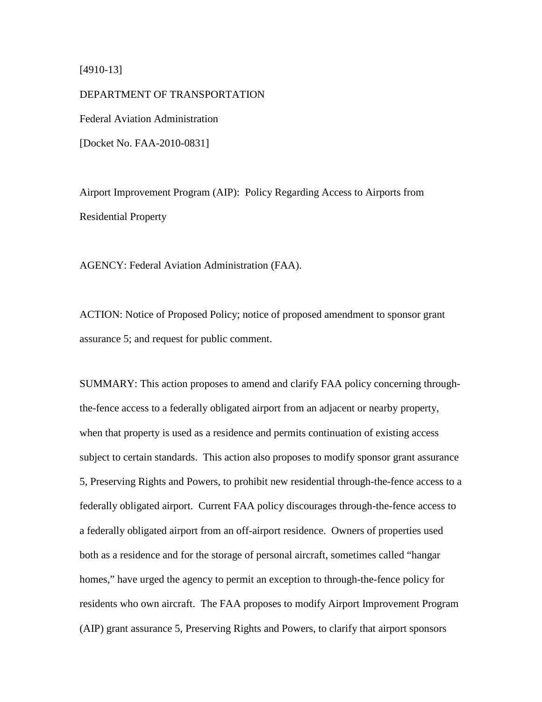#### [4910-13]

DEPARTMENT OF TRANSPORTATION Federal Aviation Administration [Docket No. FAA-2010-0831]

Airport Improvement Program (AIP): Policy Regarding Access to Airports from Residential Property

AGENCY: Federal Aviation Administration (FAA).

ACTION: Notice of Proposed Policy; notice of proposed amendment to sponsor grant assurance 5; and request for public comment.

SUMMARY: This action proposes to amend and clarify FAA policy concerning throughthe-fence access to a federally obligated airport from an adjacent or nearby property, when that property is used as a residence and permits continuation of existing access subject to certain standards. This action also proposes to modify sponsor grant assurance 5, Preserving Rights and Powers, to prohibit new residential through-the-fence access to a federally obligated airport. Current FAA policy discourages through-the-fence access to a federally obligated airport from an off-airport residence. Owners of properties used both as a residence and for the storage of personal aircraft, sometimes called "hangar homes," have urged the agency to permit an exception to through-the-fence policy for residents who own aircraft. The FAA proposes to modify Airport Improvement Program (AIP) grant assurance 5, Preserving Rights and Powers, to clarify that airport sponsors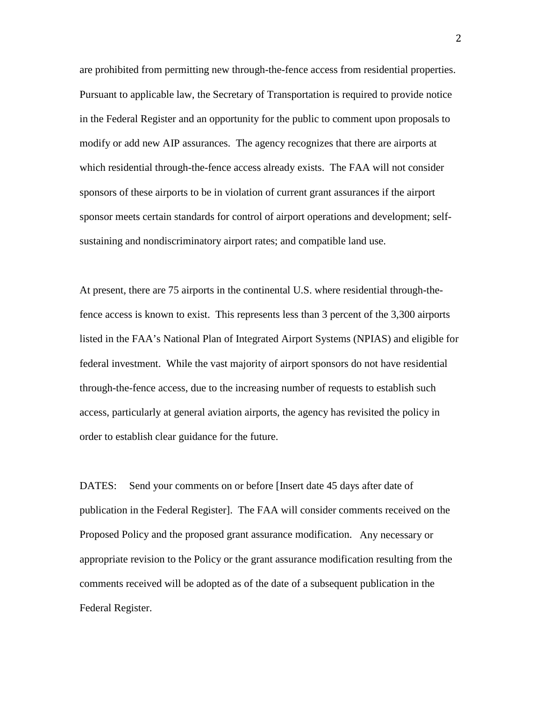are prohibited from permitting new through-the-fence access from residential properties. Pursuant to applicable law, the Secretary of Transportation is required to provide notice in the Federal Register and an opportunity for the public to comment upon proposals to modify or add new AIP assurances. The agency recognizes that there are airports at which residential through-the-fence access already exists. The FAA will not consider sponsors of these airports to be in violation of current grant assurances if the airport sponsor meets certain standards for control of airport operations and development; selfsustaining and nondiscriminatory airport rates; and compatible land use.

At present, there are 75 airports in the continental U.S. where residential through-thefence access is known to exist. This represents less than 3 percent of the 3,300 airports listed in the FAA's National Plan of Integrated Airport Systems (NPIAS) and eligible for federal investment. While the vast majority of airport sponsors do not have residential through-the-fence access, due to the increasing number of requests to establish such access, particularly at general aviation airports, the agency has revisited the policy in order to establish clear guidance for the future.

DATES: Send your comments on or before [Insert date 45 days after date of publication in the Federal Register]. The FAA will consider comments received on the Proposed Policy and the proposed grant assurance modification. Any necessary or appropriate revision to the Policy or the grant assurance modification resulting from the comments received will be adopted as of the date of a subsequent publication in the Federal Register.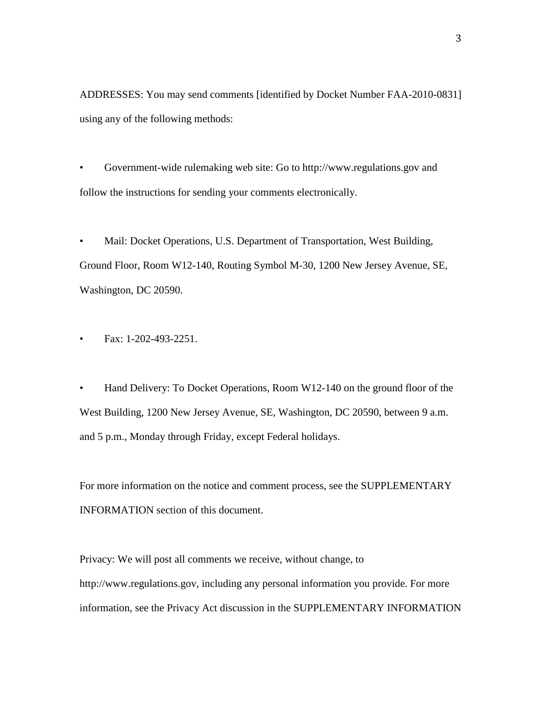ADDRESSES: You may send comments [identified by Docket Number FAA-2010-0831] using any of the following methods:

• Government-wide rulemaking web site: Go to http://www.regulations.gov and follow the instructions for sending your comments electronically.

• Mail: Docket Operations, U.S. Department of Transportation, West Building, Ground Floor, Room W12-140, Routing Symbol M-30, 1200 New Jersey Avenue, SE, Washington, DC 20590.

• Fax: 1-202-493-2251.

• Hand Delivery: To Docket Operations, Room W12-140 on the ground floor of the West Building, 1200 New Jersey Avenue, SE, Washington, DC 20590, between 9 a.m. and 5 p.m., Monday through Friday, except Federal holidays.

For more information on the notice and comment process, see the SUPPLEMENTARY INFORMATION section of this document.

Privacy: We will post all comments we receive, without change, to http://www.regulations.gov, including any personal information you provide. For more information, see the Privacy Act discussion in the SUPPLEMENTARY INFORMATION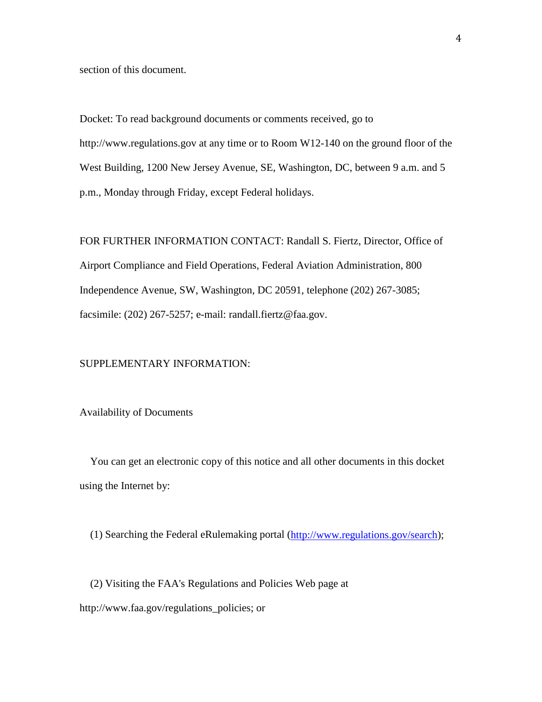section of this document.

Docket: To read background documents or comments received, go to http://www.regulations.gov at any time or to Room W12-140 on the ground floor of the West Building, 1200 New Jersey Avenue, SE, Washington, DC, between 9 a.m. and 5 p.m., Monday through Friday, except Federal holidays.

FOR FURTHER INFORMATION CONTACT: Randall S. Fiertz, Director, Office of Airport Compliance and Field Operations, Federal Aviation Administration, 800 Independence Avenue, SW, Washington, DC 20591, telephone (202) 267-3085; facsimile: (202) 267-5257; e-mail: randall.fiertz@faa.gov.

#### SUPPLEMENTARY INFORMATION:

#### Availability of Documents

 You can get an electronic copy of this notice and all other documents in this docket using the Internet by:

(1) Searching the Federal eRulemaking portal [\(http://www.regulations.gov/search\)](http://www.regulations.gov/search);

 (2) Visiting the FAA's Regulations and Policies Web page at http://www.faa.gov/regulations\_policies; or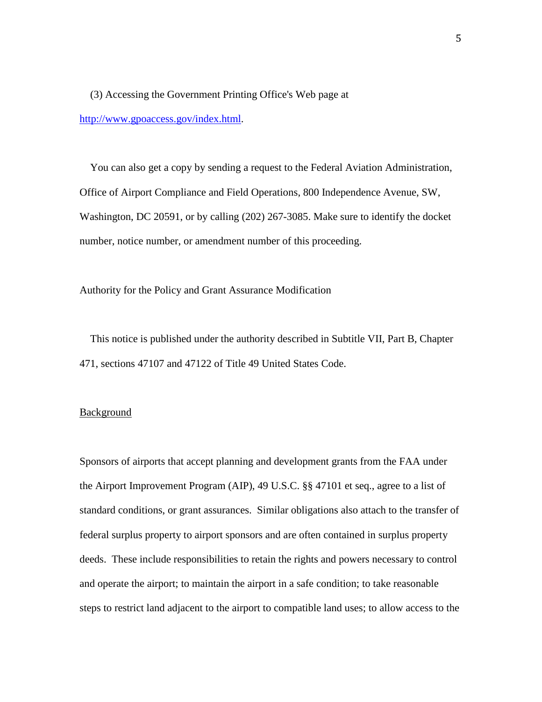(3) Accessing the Government Printing Office's Web page at [http://www.gpoaccess.gov/index.html.](http://www.gpoaccess.gov/index.html)

 You can also get a copy by sending a request to the Federal Aviation Administration, Office of Airport Compliance and Field Operations, 800 Independence Avenue, SW, Washington, DC 20591, or by calling (202) 267-3085. Make sure to identify the docket number, notice number, or amendment number of this proceeding.

Authority for the Policy and Grant Assurance Modification

 This notice is published under the authority described in Subtitle VII, Part B, Chapter 471, sections 47107 and 47122 of Title 49 United States Code.

#### **Background**

Sponsors of airports that accept planning and development grants from the FAA under the Airport Improvement Program (AIP), 49 U.S.C. §§ 47101 et seq., agree to a list of standard conditions, or grant assurances. Similar obligations also attach to the transfer of federal surplus property to airport sponsors and are often contained in surplus property deeds. These include responsibilities to retain the rights and powers necessary to control and operate the airport; to maintain the airport in a safe condition; to take reasonable steps to restrict land adjacent to the airport to compatible land uses; to allow access to the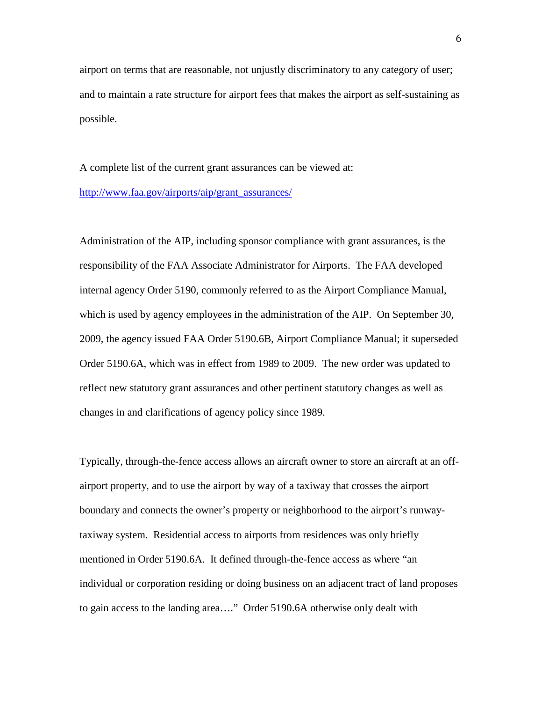airport on terms that are reasonable, not unjustly discriminatory to any category of user; and to maintain a rate structure for airport fees that makes the airport as self-sustaining as possible.

A complete list of the current grant assurances can be viewed at: [http://www.faa.gov/airports/aip/grant\\_assurances/](http://www.faa.gov/airports/aip/grant_assurances/)

Administration of the AIP, including sponsor compliance with grant assurances, is the responsibility of the FAA Associate Administrator for Airports. The FAA developed internal agency Order 5190, commonly referred to as the Airport Compliance Manual, which is used by agency employees in the administration of the AIP. On September 30, 2009, the agency issued FAA Order 5190.6B, Airport Compliance Manual; it superseded Order 5190.6A, which was in effect from 1989 to 2009. The new order was updated to reflect new statutory grant assurances and other pertinent statutory changes as well as changes in and clarifications of agency policy since 1989.

Typically, through-the-fence access allows an aircraft owner to store an aircraft at an offairport property, and to use the airport by way of a taxiway that crosses the airport boundary and connects the owner's property or neighborhood to the airport's runwaytaxiway system. Residential access to airports from residences was only briefly mentioned in Order 5190.6A. It defined through-the-fence access as where "an individual or corporation residing or doing business on an adjacent tract of land proposes to gain access to the landing area…." Order 5190.6A otherwise only dealt with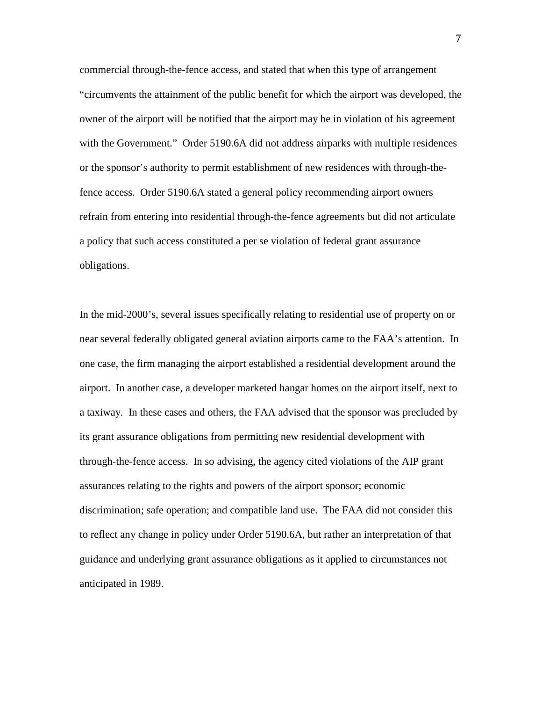commercial through-the-fence access, and stated that when this type of arrangement "circumvents the attainment of the public benefit for which the airport was developed, the owner of the airport will be notified that the airport may be in violation of his agreement with the Government." Order 5190.6A did not address airparks with multiple residences or the sponsor's authority to permit establishment of new residences with through-thefence access. Order 5190.6A stated a general policy recommending airport owners refrain from entering into residential through-the-fence agreements but did not articulate a policy that such access constituted a per se violation of federal grant assurance obligations.

In the mid-2000's, several issues specifically relating to residential use of property on or near several federally obligated general aviation airports came to the FAA's attention. In one case, the firm managing the airport established a residential development around the airport. In another case, a developer marketed hangar homes on the airport itself, next to a taxiway. In these cases and others, the FAA advised that the sponsor was precluded by its grant assurance obligations from permitting new residential development with through-the-fence access. In so advising, the agency cited violations of the AIP grant assurances relating to the rights and powers of the airport sponsor; economic discrimination; safe operation; and compatible land use. The FAA did not consider this to reflect any change in policy under Order 5190.6A, but rather an interpretation of that guidance and underlying grant assurance obligations as it applied to circumstances not anticipated in 1989.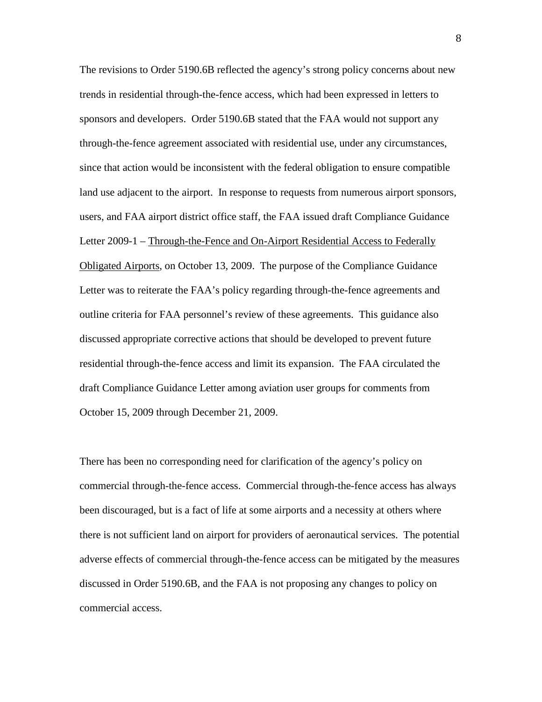The revisions to Order 5190.6B reflected the agency's strong policy concerns about new trends in residential through-the-fence access, which had been expressed in letters to sponsors and developers. Order 5190.6B stated that the FAA would not support any through-the-fence agreement associated with residential use, under any circumstances, since that action would be inconsistent with the federal obligation to ensure compatible land use adjacent to the airport. In response to requests from numerous airport sponsors, users, and FAA airport district office staff, the FAA issued draft Compliance Guidance Letter 2009-1 – Through-the-Fence and On-Airport Residential Access to Federally Obligated Airports, on October 13, 2009. The purpose of the Compliance Guidance Letter was to reiterate the FAA's policy regarding through-the-fence agreements and outline criteria for FAA personnel's review of these agreements. This guidance also discussed appropriate corrective actions that should be developed to prevent future residential through-the-fence access and limit its expansion. The FAA circulated the draft Compliance Guidance Letter among aviation user groups for comments from October 15, 2009 through December 21, 2009.

There has been no corresponding need for clarification of the agency's policy on commercial through-the-fence access. Commercial through-the-fence access has always been discouraged, but is a fact of life at some airports and a necessity at others where there is not sufficient land on airport for providers of aeronautical services. The potential adverse effects of commercial through-the-fence access can be mitigated by the measures discussed in Order 5190.6B, and the FAA is not proposing any changes to policy on commercial access.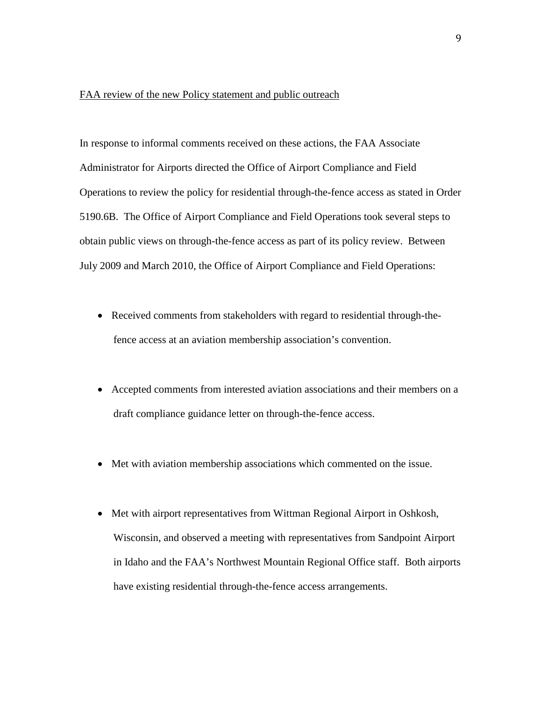#### FAA review of the new Policy statement and public outreach

In response to informal comments received on these actions, the FAA Associate Administrator for Airports directed the Office of Airport Compliance and Field Operations to review the policy for residential through-the-fence access as stated in Order 5190.6B. The Office of Airport Compliance and Field Operations took several steps to obtain public views on through-the-fence access as part of its policy review. Between July 2009 and March 2010, the Office of Airport Compliance and Field Operations:

- Received comments from stakeholders with regard to residential through-thefence access at an aviation membership association's convention.
- Accepted comments from interested aviation associations and their members on a draft compliance guidance letter on through-the-fence access.
- Met with aviation membership associations which commented on the issue.
- Met with airport representatives from Wittman Regional Airport in Oshkosh, Wisconsin, and observed a meeting with representatives from Sandpoint Airport in Idaho and the FAA's Northwest Mountain Regional Office staff. Both airports have existing residential through-the-fence access arrangements.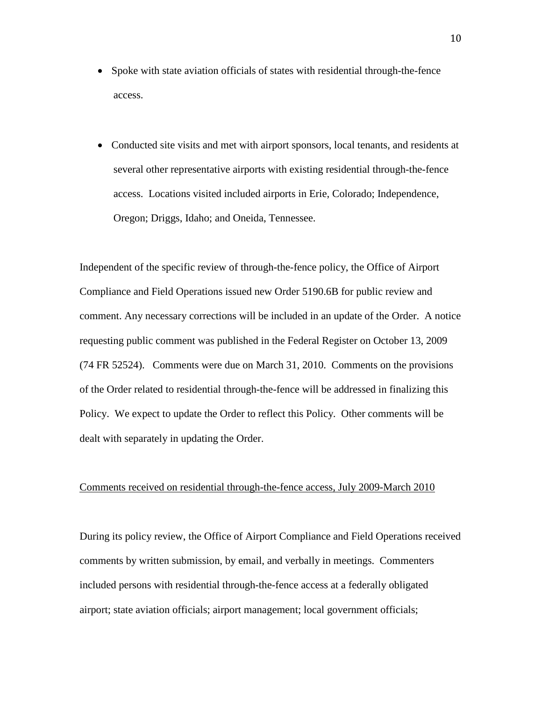- Spoke with state aviation officials of states with residential through-the-fence access.
- Conducted site visits and met with airport sponsors, local tenants, and residents at several other representative airports with existing residential through-the-fence access. Locations visited included airports in Erie, Colorado; Independence, Oregon; Driggs, Idaho; and Oneida, Tennessee.

Independent of the specific review of through-the-fence policy, the Office of Airport Compliance and Field Operations issued new Order 5190.6B for public review and comment. Any necessary corrections will be included in an update of the Order. A notice requesting public comment was published in the Federal Register on October 13, 2009 (74 FR 52524). Comments were due on March 31, 2010. Comments on the provisions of the Order related to residential through-the-fence will be addressed in finalizing this Policy. We expect to update the Order to reflect this Policy. Other comments will be dealt with separately in updating the Order.

#### Comments received on residential through-the-fence access, July 2009-March 2010

During its policy review, the Office of Airport Compliance and Field Operations received comments by written submission, by email, and verbally in meetings. Commenters included persons with residential through-the-fence access at a federally obligated airport; state aviation officials; airport management; local government officials;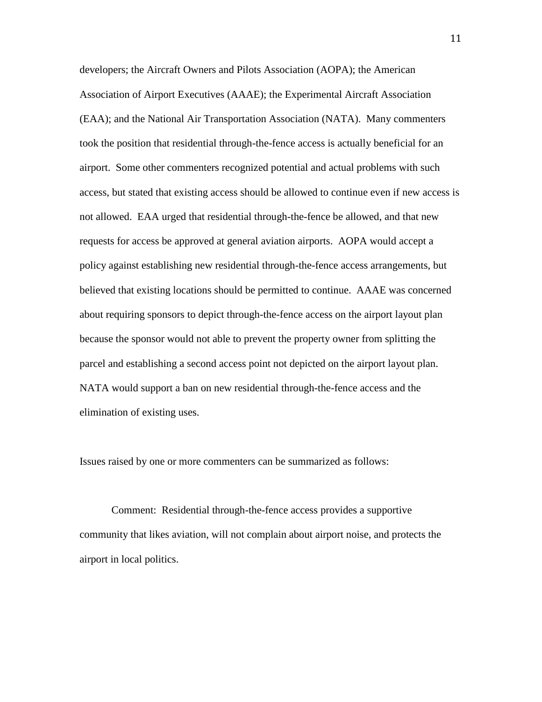developers; the Aircraft Owners and Pilots Association (AOPA); the American Association of Airport Executives (AAAE); the Experimental Aircraft Association (EAA); and the National Air Transportation Association (NATA). Many commenters took the position that residential through-the-fence access is actually beneficial for an airport. Some other commenters recognized potential and actual problems with such access, but stated that existing access should be allowed to continue even if new access is not allowed. EAA urged that residential through-the-fence be allowed, and that new requests for access be approved at general aviation airports. AOPA would accept a policy against establishing new residential through-the-fence access arrangements, but believed that existing locations should be permitted to continue. AAAE was concerned about requiring sponsors to depict through-the-fence access on the airport layout plan because the sponsor would not able to prevent the property owner from splitting the parcel and establishing a second access point not depicted on the airport layout plan. NATA would support a ban on new residential through-the-fence access and the elimination of existing uses.

Issues raised by one or more commenters can be summarized as follows:

Comment: Residential through-the-fence access provides a supportive community that likes aviation, will not complain about airport noise, and protects the airport in local politics.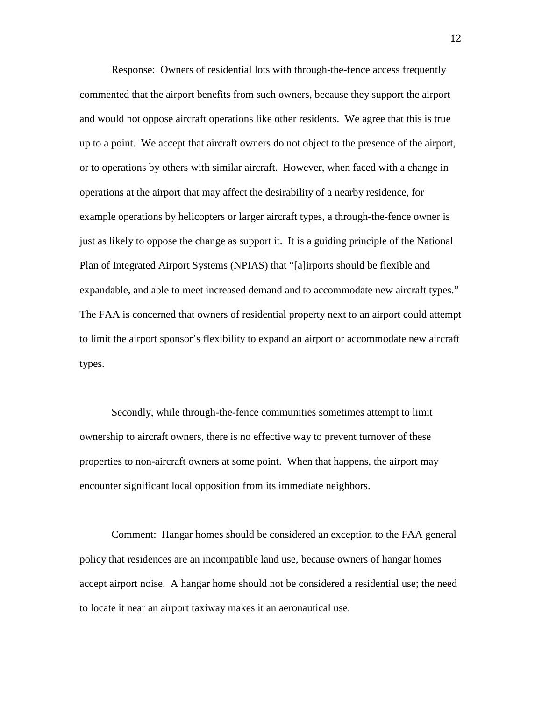Response: Owners of residential lots with through-the-fence access frequently commented that the airport benefits from such owners, because they support the airport and would not oppose aircraft operations like other residents. We agree that this is true up to a point. We accept that aircraft owners do not object to the presence of the airport, or to operations by others with similar aircraft. However, when faced with a change in operations at the airport that may affect the desirability of a nearby residence, for example operations by helicopters or larger aircraft types, a through-the-fence owner is just as likely to oppose the change as support it. It is a guiding principle of the National Plan of Integrated Airport Systems (NPIAS) that "[a]irports should be flexible and expandable, and able to meet increased demand and to accommodate new aircraft types." The FAA is concerned that owners of residential property next to an airport could attempt to limit the airport sponsor's flexibility to expand an airport or accommodate new aircraft types.

Secondly, while through-the-fence communities sometimes attempt to limit ownership to aircraft owners, there is no effective way to prevent turnover of these properties to non-aircraft owners at some point. When that happens, the airport may encounter significant local opposition from its immediate neighbors.

Comment: Hangar homes should be considered an exception to the FAA general policy that residences are an incompatible land use, because owners of hangar homes accept airport noise. A hangar home should not be considered a residential use; the need to locate it near an airport taxiway makes it an aeronautical use.

12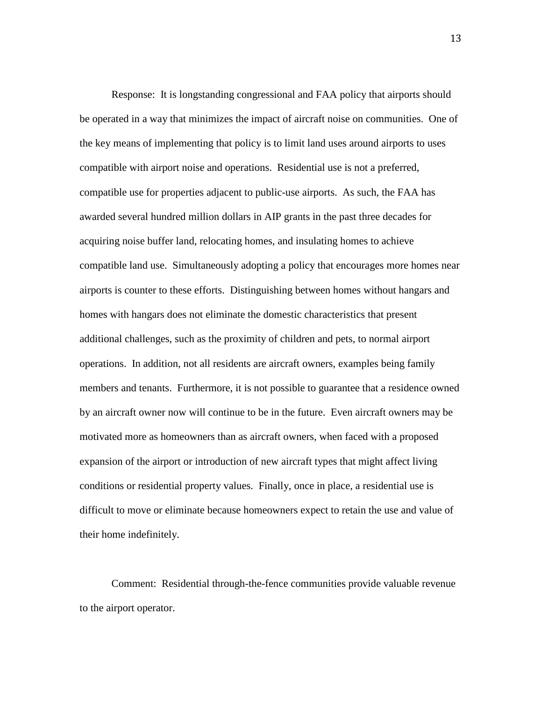Response: It is longstanding congressional and FAA policy that airports should be operated in a way that minimizes the impact of aircraft noise on communities. One of the key means of implementing that policy is to limit land uses around airports to uses compatible with airport noise and operations. Residential use is not a preferred, compatible use for properties adjacent to public-use airports. As such, the FAA has awarded several hundred million dollars in AIP grants in the past three decades for acquiring noise buffer land, relocating homes, and insulating homes to achieve compatible land use. Simultaneously adopting a policy that encourages more homes near airports is counter to these efforts. Distinguishing between homes without hangars and homes with hangars does not eliminate the domestic characteristics that present additional challenges, such as the proximity of children and pets, to normal airport operations. In addition, not all residents are aircraft owners, examples being family members and tenants. Furthermore, it is not possible to guarantee that a residence owned by an aircraft owner now will continue to be in the future. Even aircraft owners may be motivated more as homeowners than as aircraft owners, when faced with a proposed expansion of the airport or introduction of new aircraft types that might affect living conditions or residential property values. Finally, once in place, a residential use is difficult to move or eliminate because homeowners expect to retain the use and value of their home indefinitely.

Comment: Residential through-the-fence communities provide valuable revenue to the airport operator.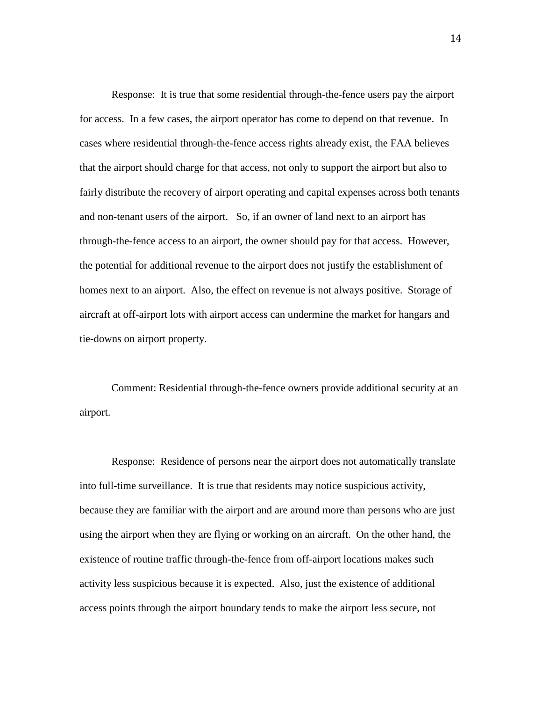Response: It is true that some residential through-the-fence users pay the airport for access. In a few cases, the airport operator has come to depend on that revenue. In cases where residential through-the-fence access rights already exist, the FAA believes that the airport should charge for that access, not only to support the airport but also to fairly distribute the recovery of airport operating and capital expenses across both tenants and non-tenant users of the airport. So, if an owner of land next to an airport has through-the-fence access to an airport, the owner should pay for that access. However, the potential for additional revenue to the airport does not justify the establishment of homes next to an airport. Also, the effect on revenue is not always positive. Storage of aircraft at off-airport lots with airport access can undermine the market for hangars and tie-downs on airport property.

Comment: Residential through-the-fence owners provide additional security at an airport.

Response: Residence of persons near the airport does not automatically translate into full-time surveillance. It is true that residents may notice suspicious activity, because they are familiar with the airport and are around more than persons who are just using the airport when they are flying or working on an aircraft. On the other hand, the existence of routine traffic through-the-fence from off-airport locations makes such activity less suspicious because it is expected. Also, just the existence of additional access points through the airport boundary tends to make the airport less secure, not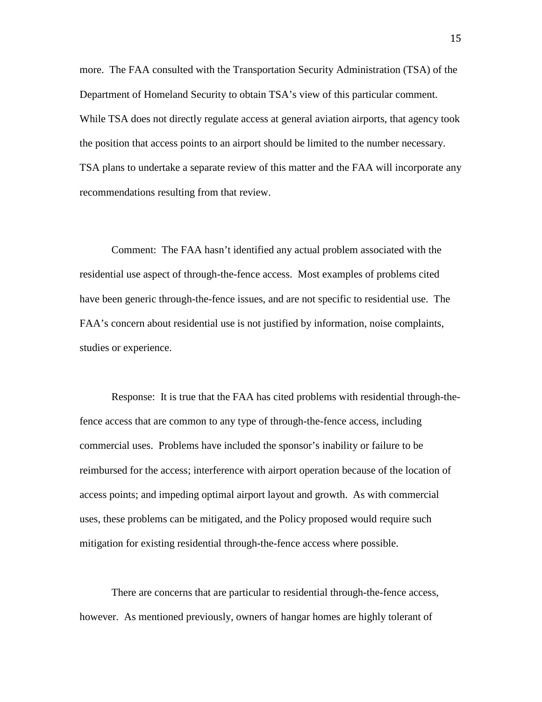more. The FAA consulted with the Transportation Security Administration (TSA) of the Department of Homeland Security to obtain TSA's view of this particular comment. While TSA does not directly regulate access at general aviation airports, that agency took the position that access points to an airport should be limited to the number necessary. TSA plans to undertake a separate review of this matter and the FAA will incorporate any recommendations resulting from that review.

Comment: The FAA hasn't identified any actual problem associated with the residential use aspect of through-the-fence access. Most examples of problems cited have been generic through-the-fence issues, and are not specific to residential use. The FAA's concern about residential use is not justified by information, noise complaints, studies or experience.

Response: It is true that the FAA has cited problems with residential through-thefence access that are common to any type of through-the-fence access, including commercial uses. Problems have included the sponsor's inability or failure to be reimbursed for the access; interference with airport operation because of the location of access points; and impeding optimal airport layout and growth. As with commercial uses, these problems can be mitigated, and the Policy proposed would require such mitigation for existing residential through-the-fence access where possible.

There are concerns that are particular to residential through-the-fence access, however. As mentioned previously, owners of hangar homes are highly tolerant of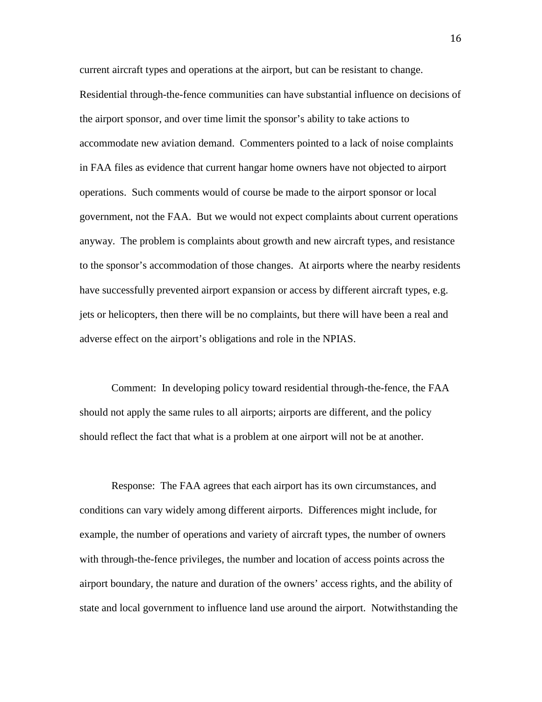current aircraft types and operations at the airport, but can be resistant to change. Residential through-the-fence communities can have substantial influence on decisions of the airport sponsor, and over time limit the sponsor's ability to take actions to accommodate new aviation demand. Commenters pointed to a lack of noise complaints in FAA files as evidence that current hangar home owners have not objected to airport operations. Such comments would of course be made to the airport sponsor or local government, not the FAA. But we would not expect complaints about current operations anyway. The problem is complaints about growth and new aircraft types, and resistance to the sponsor's accommodation of those changes. At airports where the nearby residents have successfully prevented airport expansion or access by different aircraft types, e.g. jets or helicopters, then there will be no complaints, but there will have been a real and adverse effect on the airport's obligations and role in the NPIAS.

Comment: In developing policy toward residential through-the-fence, the FAA should not apply the same rules to all airports; airports are different, and the policy should reflect the fact that what is a problem at one airport will not be at another.

Response: The FAA agrees that each airport has its own circumstances, and conditions can vary widely among different airports. Differences might include, for example, the number of operations and variety of aircraft types, the number of owners with through-the-fence privileges, the number and location of access points across the airport boundary, the nature and duration of the owners' access rights, and the ability of state and local government to influence land use around the airport. Notwithstanding the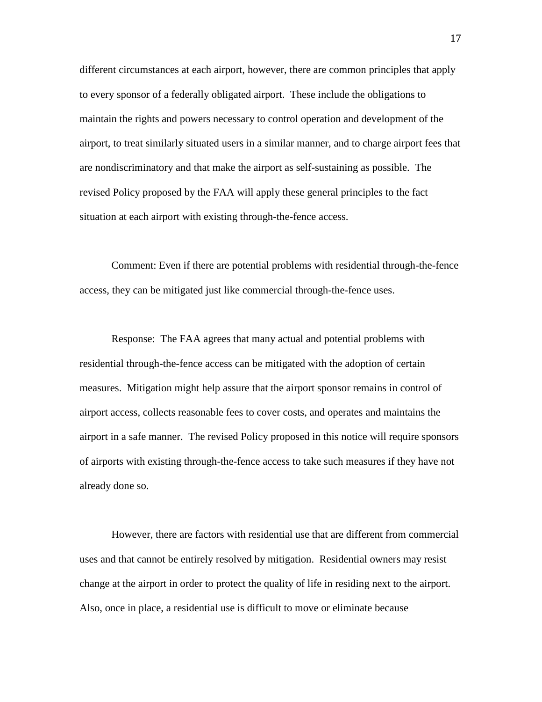different circumstances at each airport, however, there are common principles that apply to every sponsor of a federally obligated airport. These include the obligations to maintain the rights and powers necessary to control operation and development of the airport, to treat similarly situated users in a similar manner, and to charge airport fees that are nondiscriminatory and that make the airport as self-sustaining as possible. The revised Policy proposed by the FAA will apply these general principles to the fact situation at each airport with existing through-the-fence access.

Comment: Even if there are potential problems with residential through-the-fence access, they can be mitigated just like commercial through-the-fence uses.

Response: The FAA agrees that many actual and potential problems with residential through-the-fence access can be mitigated with the adoption of certain measures. Mitigation might help assure that the airport sponsor remains in control of airport access, collects reasonable fees to cover costs, and operates and maintains the airport in a safe manner. The revised Policy proposed in this notice will require sponsors of airports with existing through-the-fence access to take such measures if they have not already done so.

However, there are factors with residential use that are different from commercial uses and that cannot be entirely resolved by mitigation. Residential owners may resist change at the airport in order to protect the quality of life in residing next to the airport. Also, once in place, a residential use is difficult to move or eliminate because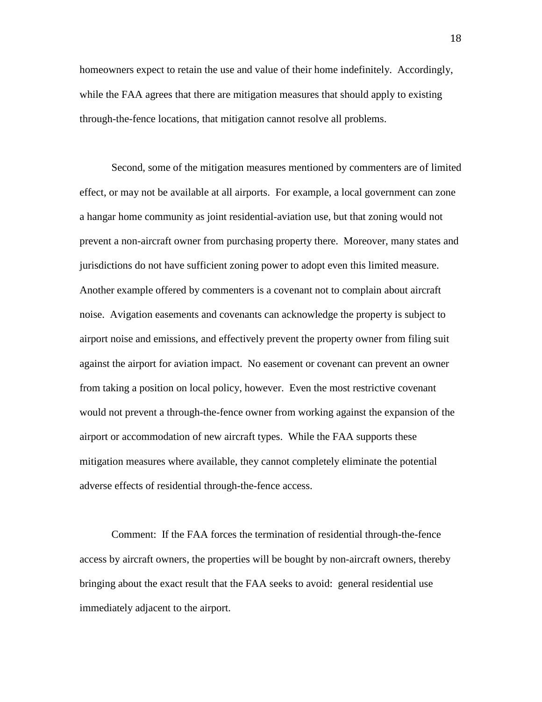homeowners expect to retain the use and value of their home indefinitely. Accordingly, while the FAA agrees that there are mitigation measures that should apply to existing through-the-fence locations, that mitigation cannot resolve all problems.

Second, some of the mitigation measures mentioned by commenters are of limited effect, or may not be available at all airports. For example, a local government can zone a hangar home community as joint residential-aviation use, but that zoning would not prevent a non-aircraft owner from purchasing property there. Moreover, many states and jurisdictions do not have sufficient zoning power to adopt even this limited measure. Another example offered by commenters is a covenant not to complain about aircraft noise. Avigation easements and covenants can acknowledge the property is subject to airport noise and emissions, and effectively prevent the property owner from filing suit against the airport for aviation impact. No easement or covenant can prevent an owner from taking a position on local policy, however. Even the most restrictive covenant would not prevent a through-the-fence owner from working against the expansion of the airport or accommodation of new aircraft types. While the FAA supports these mitigation measures where available, they cannot completely eliminate the potential adverse effects of residential through-the-fence access.

Comment: If the FAA forces the termination of residential through-the-fence access by aircraft owners, the properties will be bought by non-aircraft owners, thereby bringing about the exact result that the FAA seeks to avoid: general residential use immediately adjacent to the airport.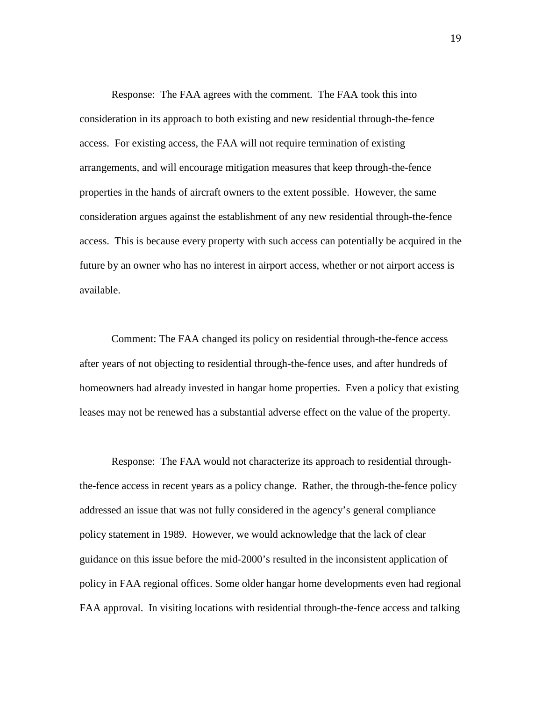Response: The FAA agrees with the comment. The FAA took this into consideration in its approach to both existing and new residential through-the-fence access. For existing access, the FAA will not require termination of existing arrangements, and will encourage mitigation measures that keep through-the-fence properties in the hands of aircraft owners to the extent possible. However, the same consideration argues against the establishment of any new residential through-the-fence access. This is because every property with such access can potentially be acquired in the future by an owner who has no interest in airport access, whether or not airport access is available.

Comment: The FAA changed its policy on residential through-the-fence access after years of not objecting to residential through-the-fence uses, and after hundreds of homeowners had already invested in hangar home properties. Even a policy that existing leases may not be renewed has a substantial adverse effect on the value of the property.

Response: The FAA would not characterize its approach to residential throughthe-fence access in recent years as a policy change. Rather, the through-the-fence policy addressed an issue that was not fully considered in the agency's general compliance policy statement in 1989. However, we would acknowledge that the lack of clear guidance on this issue before the mid-2000's resulted in the inconsistent application of policy in FAA regional offices. Some older hangar home developments even had regional FAA approval. In visiting locations with residential through-the-fence access and talking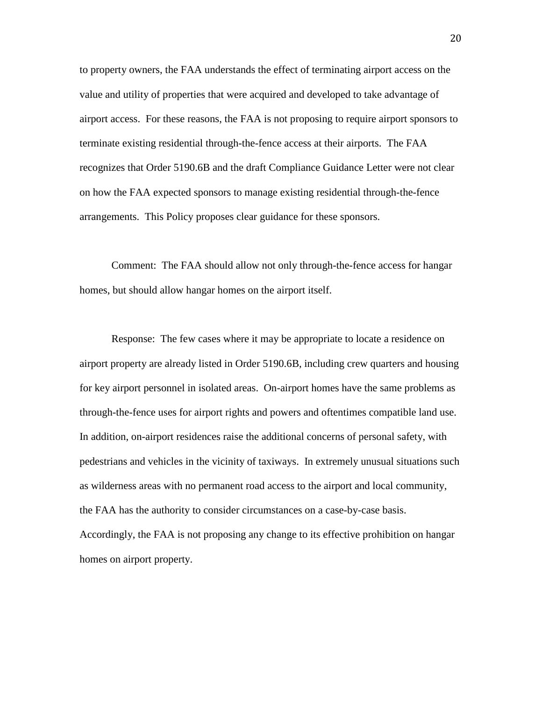to property owners, the FAA understands the effect of terminating airport access on the value and utility of properties that were acquired and developed to take advantage of airport access. For these reasons, the FAA is not proposing to require airport sponsors to terminate existing residential through-the-fence access at their airports. The FAA recognizes that Order 5190.6B and the draft Compliance Guidance Letter were not clear on how the FAA expected sponsors to manage existing residential through-the-fence arrangements. This Policy proposes clear guidance for these sponsors.

Comment: The FAA should allow not only through-the-fence access for hangar homes, but should allow hangar homes on the airport itself.

Response: The few cases where it may be appropriate to locate a residence on airport property are already listed in Order 5190.6B, including crew quarters and housing for key airport personnel in isolated areas. On-airport homes have the same problems as through-the-fence uses for airport rights and powers and oftentimes compatible land use. In addition, on-airport residences raise the additional concerns of personal safety, with pedestrians and vehicles in the vicinity of taxiways. In extremely unusual situations such as wilderness areas with no permanent road access to the airport and local community, the FAA has the authority to consider circumstances on a case-by-case basis. Accordingly, the FAA is not proposing any change to its effective prohibition on hangar homes on airport property.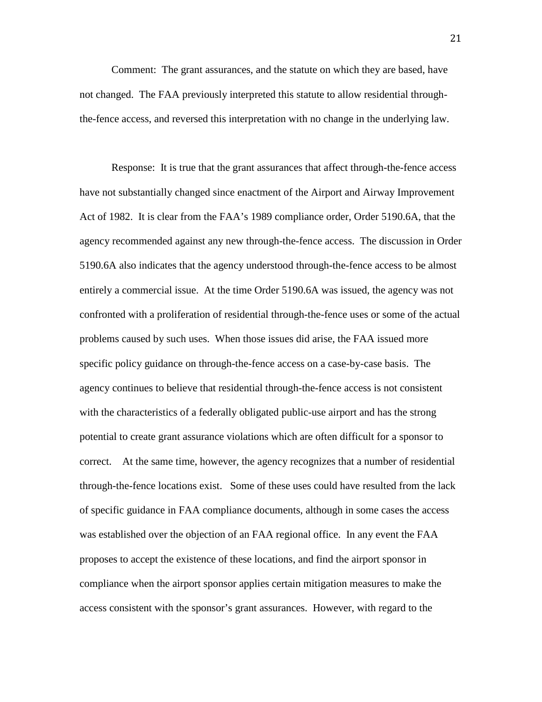Comment: The grant assurances, and the statute on which they are based, have not changed. The FAA previously interpreted this statute to allow residential throughthe-fence access, and reversed this interpretation with no change in the underlying law.

Response: It is true that the grant assurances that affect through-the-fence access have not substantially changed since enactment of the Airport and Airway Improvement Act of 1982. It is clear from the FAA's 1989 compliance order, Order 5190.6A, that the agency recommended against any new through-the-fence access. The discussion in Order 5190.6A also indicates that the agency understood through-the-fence access to be almost entirely a commercial issue. At the time Order 5190.6A was issued, the agency was not confronted with a proliferation of residential through-the-fence uses or some of the actual problems caused by such uses. When those issues did arise, the FAA issued more specific policy guidance on through-the-fence access on a case-by-case basis. The agency continues to believe that residential through-the-fence access is not consistent with the characteristics of a federally obligated public-use airport and has the strong potential to create grant assurance violations which are often difficult for a sponsor to correct. At the same time, however, the agency recognizes that a number of residential through-the-fence locations exist. Some of these uses could have resulted from the lack of specific guidance in FAA compliance documents, although in some cases the access was established over the objection of an FAA regional office. In any event the FAA proposes to accept the existence of these locations, and find the airport sponsor in compliance when the airport sponsor applies certain mitigation measures to make the access consistent with the sponsor's grant assurances. However, with regard to the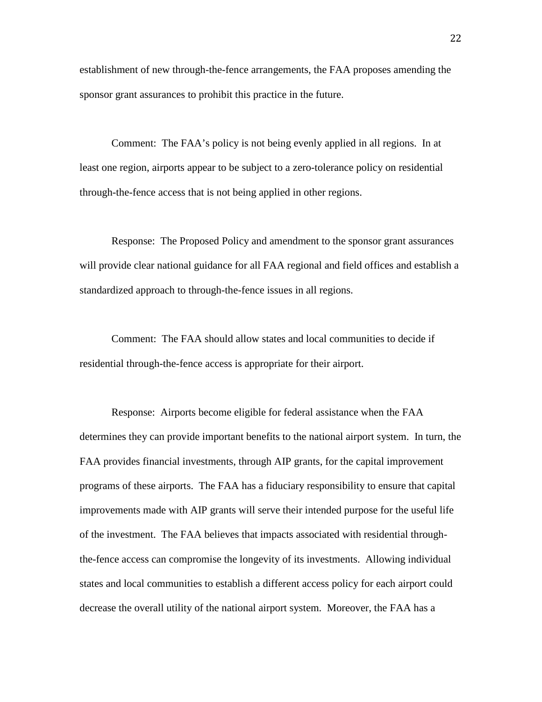establishment of new through-the-fence arrangements, the FAA proposes amending the sponsor grant assurances to prohibit this practice in the future.

Comment: The FAA's policy is not being evenly applied in all regions. In at least one region, airports appear to be subject to a zero-tolerance policy on residential through-the-fence access that is not being applied in other regions.

Response: The Proposed Policy and amendment to the sponsor grant assurances will provide clear national guidance for all FAA regional and field offices and establish a standardized approach to through-the-fence issues in all regions.

Comment: The FAA should allow states and local communities to decide if residential through-the-fence access is appropriate for their airport.

Response: Airports become eligible for federal assistance when the FAA determines they can provide important benefits to the national airport system. In turn, the FAA provides financial investments, through AIP grants, for the capital improvement programs of these airports. The FAA has a fiduciary responsibility to ensure that capital improvements made with AIP grants will serve their intended purpose for the useful life of the investment. The FAA believes that impacts associated with residential throughthe-fence access can compromise the longevity of its investments. Allowing individual states and local communities to establish a different access policy for each airport could decrease the overall utility of the national airport system. Moreover, the FAA has a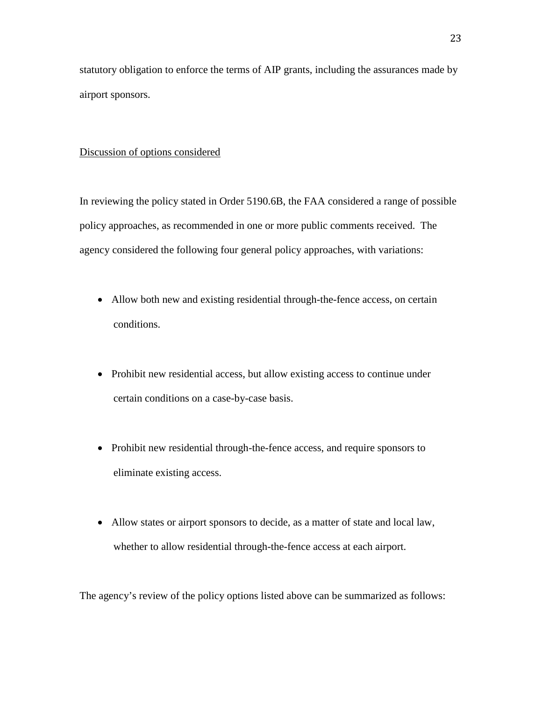statutory obligation to enforce the terms of AIP grants, including the assurances made by airport sponsors.

#### Discussion of options considered

In reviewing the policy stated in Order 5190.6B, the FAA considered a range of possible policy approaches, as recommended in one or more public comments received. The agency considered the following four general policy approaches, with variations:

- Allow both new and existing residential through-the-fence access, on certain conditions.
- Prohibit new residential access, but allow existing access to continue under certain conditions on a case-by-case basis.
- Prohibit new residential through-the-fence access, and require sponsors to eliminate existing access.
- Allow states or airport sponsors to decide, as a matter of state and local law, whether to allow residential through-the-fence access at each airport.

The agency's review of the policy options listed above can be summarized as follows: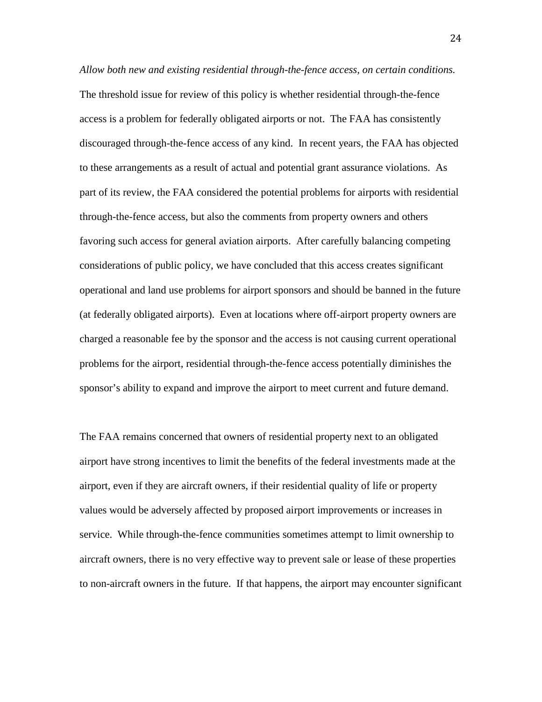*Allow both new and existing residential through-the-fence access, on certain conditions.* The threshold issue for review of this policy is whether residential through-the-fence access is a problem for federally obligated airports or not. The FAA has consistently discouraged through-the-fence access of any kind. In recent years, the FAA has objected to these arrangements as a result of actual and potential grant assurance violations. As part of its review, the FAA considered the potential problems for airports with residential through-the-fence access, but also the comments from property owners and others favoring such access for general aviation airports. After carefully balancing competing considerations of public policy, we have concluded that this access creates significant operational and land use problems for airport sponsors and should be banned in the future (at federally obligated airports). Even at locations where off-airport property owners are charged a reasonable fee by the sponsor and the access is not causing current operational problems for the airport, residential through-the-fence access potentially diminishes the sponsor's ability to expand and improve the airport to meet current and future demand.

The FAA remains concerned that owners of residential property next to an obligated airport have strong incentives to limit the benefits of the federal investments made at the airport, even if they are aircraft owners, if their residential quality of life or property values would be adversely affected by proposed airport improvements or increases in service. While through-the-fence communities sometimes attempt to limit ownership to aircraft owners, there is no very effective way to prevent sale or lease of these properties to non-aircraft owners in the future. If that happens, the airport may encounter significant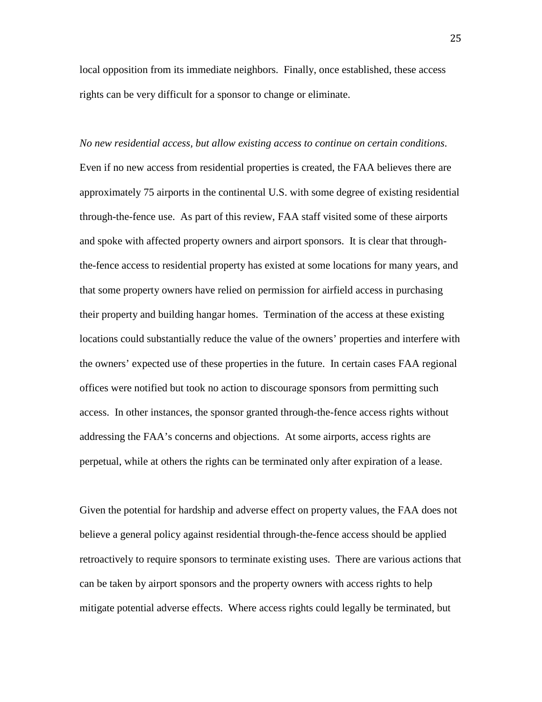local opposition from its immediate neighbors. Finally, once established, these access rights can be very difficult for a sponsor to change or eliminate.

*No new residential access, but allow existing access to continue on certain conditions*. Even if no new access from residential properties is created, the FAA believes there are approximately 75 airports in the continental U.S. with some degree of existing residential through-the-fence use. As part of this review, FAA staff visited some of these airports and spoke with affected property owners and airport sponsors. It is clear that throughthe-fence access to residential property has existed at some locations for many years, and that some property owners have relied on permission for airfield access in purchasing their property and building hangar homes. Termination of the access at these existing locations could substantially reduce the value of the owners' properties and interfere with the owners' expected use of these properties in the future. In certain cases FAA regional offices were notified but took no action to discourage sponsors from permitting such access. In other instances, the sponsor granted through-the-fence access rights without addressing the FAA's concerns and objections. At some airports, access rights are perpetual, while at others the rights can be terminated only after expiration of a lease.

Given the potential for hardship and adverse effect on property values, the FAA does not believe a general policy against residential through-the-fence access should be applied retroactively to require sponsors to terminate existing uses. There are various actions that can be taken by airport sponsors and the property owners with access rights to help mitigate potential adverse effects. Where access rights could legally be terminated, but

25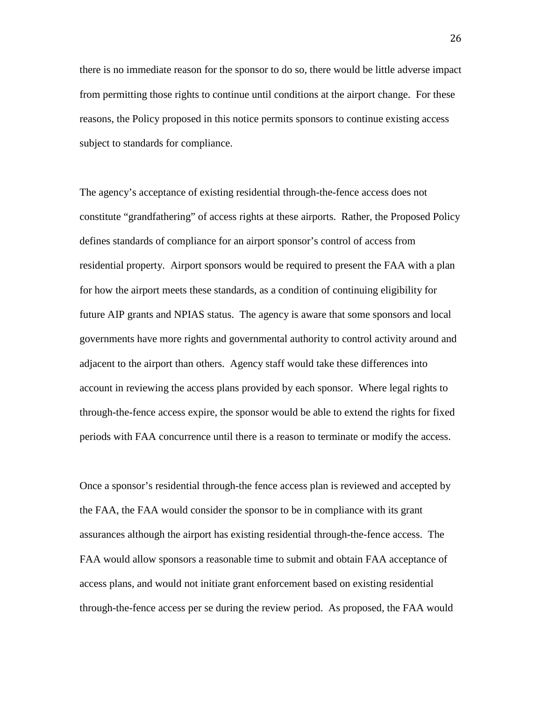there is no immediate reason for the sponsor to do so, there would be little adverse impact from permitting those rights to continue until conditions at the airport change. For these reasons, the Policy proposed in this notice permits sponsors to continue existing access subject to standards for compliance.

The agency's acceptance of existing residential through-the-fence access does not constitute "grandfathering" of access rights at these airports. Rather, the Proposed Policy defines standards of compliance for an airport sponsor's control of access from residential property. Airport sponsors would be required to present the FAA with a plan for how the airport meets these standards, as a condition of continuing eligibility for future AIP grants and NPIAS status. The agency is aware that some sponsors and local governments have more rights and governmental authority to control activity around and adjacent to the airport than others. Agency staff would take these differences into account in reviewing the access plans provided by each sponsor. Where legal rights to through-the-fence access expire, the sponsor would be able to extend the rights for fixed periods with FAA concurrence until there is a reason to terminate or modify the access.

Once a sponsor's residential through-the fence access plan is reviewed and accepted by the FAA, the FAA would consider the sponsor to be in compliance with its grant assurances although the airport has existing residential through-the-fence access. The FAA would allow sponsors a reasonable time to submit and obtain FAA acceptance of access plans, and would not initiate grant enforcement based on existing residential through-the-fence access per se during the review period. As proposed, the FAA would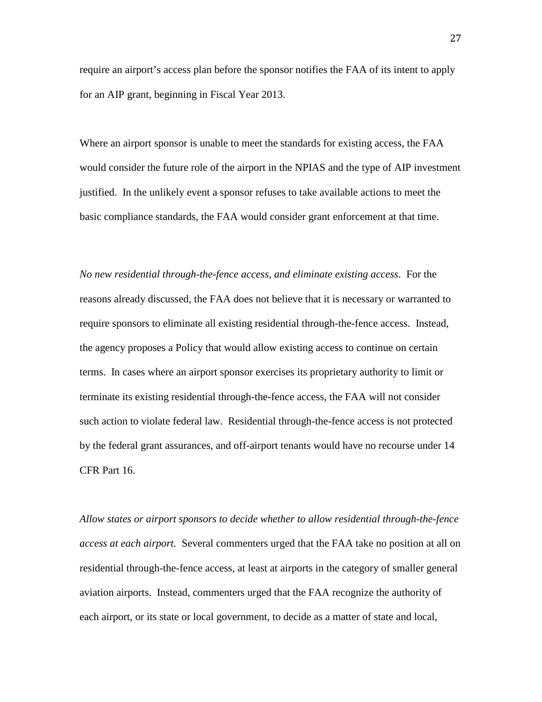require an airport's access plan before the sponsor notifies the FAA of its intent to apply for an AIP grant, beginning in Fiscal Year 2013.

Where an airport sponsor is unable to meet the standards for existing access, the FAA would consider the future role of the airport in the NPIAS and the type of AIP investment justified. In the unlikely event a sponsor refuses to take available actions to meet the basic compliance standards, the FAA would consider grant enforcement at that time.

*No new residential through-the-fence access, and eliminate existing access*. For the reasons already discussed, the FAA does not believe that it is necessary or warranted to require sponsors to eliminate all existing residential through-the-fence access. Instead, the agency proposes a Policy that would allow existing access to continue on certain terms. In cases where an airport sponsor exercises its proprietary authority to limit or terminate its existing residential through-the-fence access, the FAA will not consider such action to violate federal law. Residential through-the-fence access is not protected by the federal grant assurances, and off-airport tenants would have no recourse under 14 CFR Part 16.

*Allow states or airport sponsors to decide whether to allow residential through-the-fence access at each airport.* Several commenters urged that the FAA take no position at all on residential through-the-fence access, at least at airports in the category of smaller general aviation airports. Instead, commenters urged that the FAA recognize the authority of each airport, or its state or local government, to decide as a matter of state and local,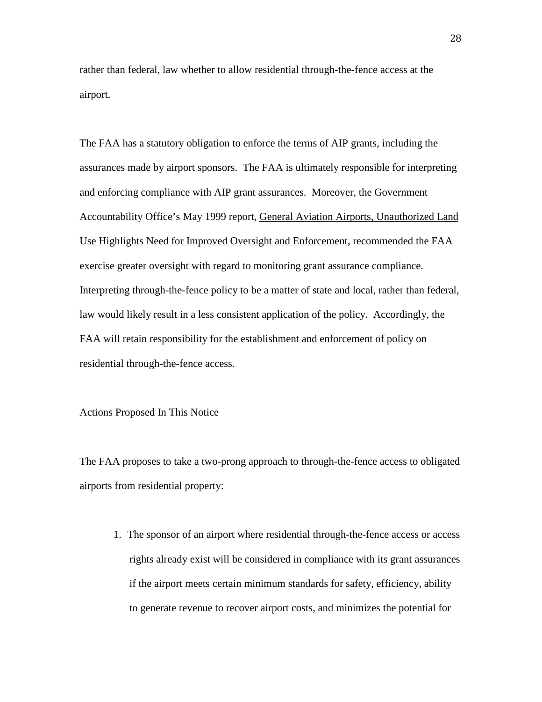rather than federal, law whether to allow residential through-the-fence access at the airport.

The FAA has a statutory obligation to enforce the terms of AIP grants, including the assurances made by airport sponsors. The FAA is ultimately responsible for interpreting and enforcing compliance with AIP grant assurances. Moreover, the Government Accountability Office's May 1999 report, General Aviation Airports, Unauthorized Land Use Highlights Need for Improved Oversight and Enforcement, recommended the FAA exercise greater oversight with regard to monitoring grant assurance compliance. Interpreting through-the-fence policy to be a matter of state and local, rather than federal, law would likely result in a less consistent application of the policy. Accordingly, the FAA will retain responsibility for the establishment and enforcement of policy on residential through-the-fence access.

Actions Proposed In This Notice

The FAA proposes to take a two-prong approach to through-the-fence access to obligated airports from residential property:

1. The sponsor of an airport where residential through-the-fence access or access rights already exist will be considered in compliance with its grant assurances if the airport meets certain minimum standards for safety, efficiency, ability to generate revenue to recover airport costs, and minimizes the potential for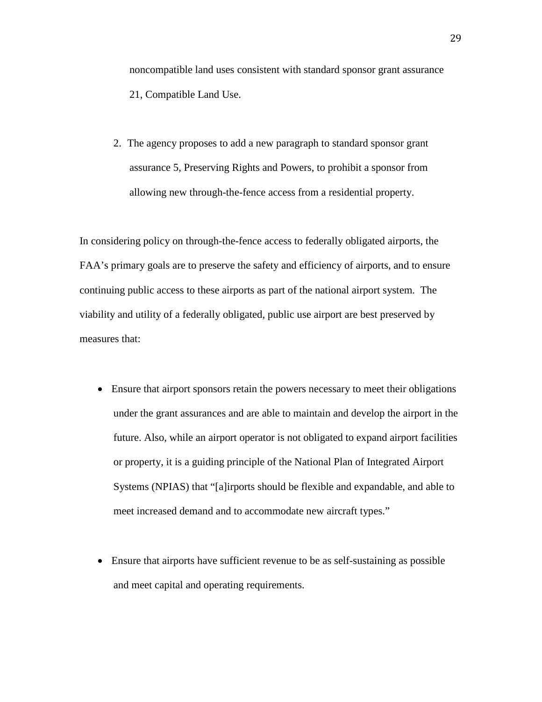noncompatible land uses consistent with standard sponsor grant assurance 21, Compatible Land Use.

2. The agency proposes to add a new paragraph to standard sponsor grant assurance 5, Preserving Rights and Powers, to prohibit a sponsor from allowing new through-the-fence access from a residential property.

In considering policy on through-the-fence access to federally obligated airports, the FAA's primary goals are to preserve the safety and efficiency of airports, and to ensure continuing public access to these airports as part of the national airport system. The viability and utility of a federally obligated, public use airport are best preserved by measures that:

- Ensure that airport sponsors retain the powers necessary to meet their obligations under the grant assurances and are able to maintain and develop the airport in the future. Also, while an airport operator is not obligated to expand airport facilities or property, it is a guiding principle of the National Plan of Integrated Airport Systems (NPIAS) that "[a]irports should be flexible and expandable, and able to meet increased demand and to accommodate new aircraft types."
- Ensure that airports have sufficient revenue to be as self-sustaining as possible and meet capital and operating requirements.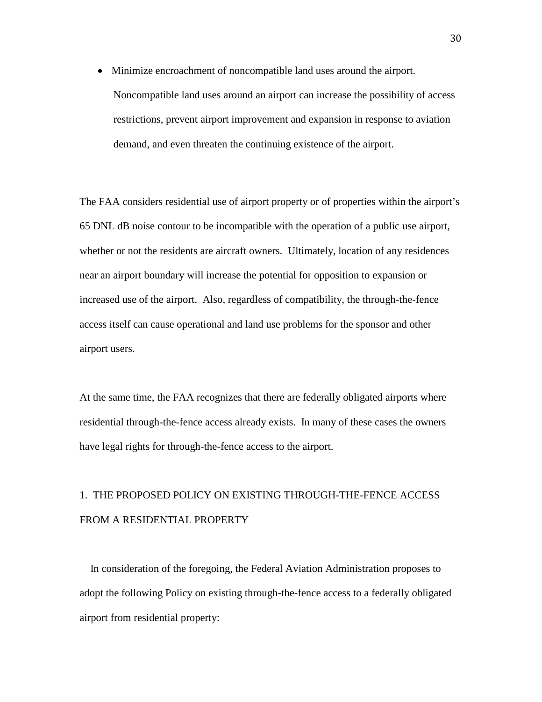• Minimize encroachment of noncompatible land uses around the airport. Noncompatible land uses around an airport can increase the possibility of access restrictions, prevent airport improvement and expansion in response to aviation demand, and even threaten the continuing existence of the airport.

The FAA considers residential use of airport property or of properties within the airport's 65 DNL dB noise contour to be incompatible with the operation of a public use airport, whether or not the residents are aircraft owners. Ultimately, location of any residences near an airport boundary will increase the potential for opposition to expansion or increased use of the airport. Also, regardless of compatibility, the through-the-fence access itself can cause operational and land use problems for the sponsor and other airport users.

At the same time, the FAA recognizes that there are federally obligated airports where residential through-the-fence access already exists. In many of these cases the owners have legal rights for through-the-fence access to the airport.

# 1. THE PROPOSED POLICY ON EXISTING THROUGH-THE-FENCE ACCESS FROM A RESIDENTIAL PROPERTY

 In consideration of the foregoing, the Federal Aviation Administration proposes to adopt the following Policy on existing through-the-fence access to a federally obligated airport from residential property: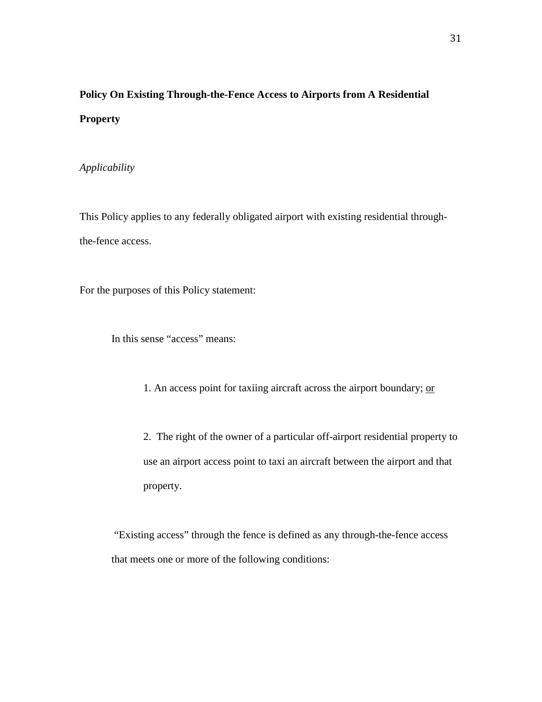# **Policy On Existing Through-the-Fence Access to Airports from A Residential Property**

### *Applicability*

This Policy applies to any federally obligated airport with existing residential throughthe-fence access.

For the purposes of this Policy statement:

In this sense "access" means:

1. An access point for taxiing aircraft across the airport boundary; or

2. The right of the owner of a particular off-airport residential property to use an airport access point to taxi an aircraft between the airport and that property.

"Existing access" through the fence is defined as any through-the-fence access that meets one or more of the following conditions: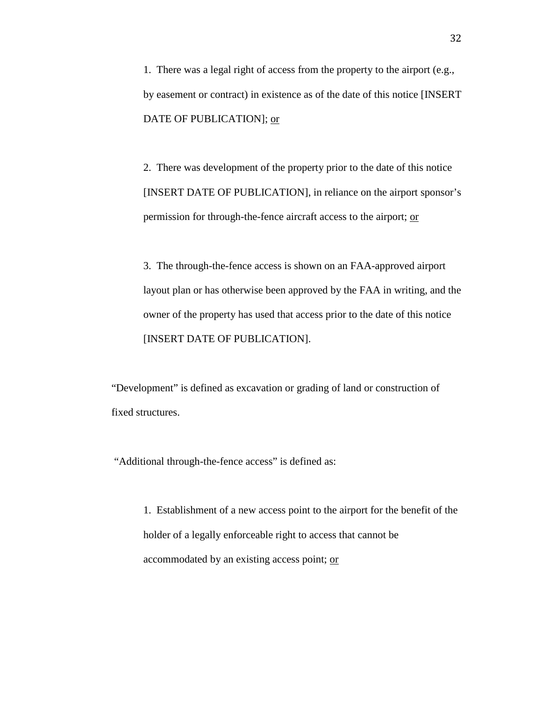1. There was a legal right of access from the property to the airport (e.g., by easement or contract) in existence as of the date of this notice [INSERT DATE OF PUBLICATION]; or

2. There was development of the property prior to the date of this notice [INSERT DATE OF PUBLICATION], in reliance on the airport sponsor's permission for through-the-fence aircraft access to the airport; or

3. The through-the-fence access is shown on an FAA-approved airport layout plan or has otherwise been approved by the FAA in writing, and the owner of the property has used that access prior to the date of this notice [INSERT DATE OF PUBLICATION].

"Development" is defined as excavation or grading of land or construction of fixed structures.

"Additional through-the-fence access" is defined as:

1. Establishment of a new access point to the airport for the benefit of the holder of a legally enforceable right to access that cannot be accommodated by an existing access point; or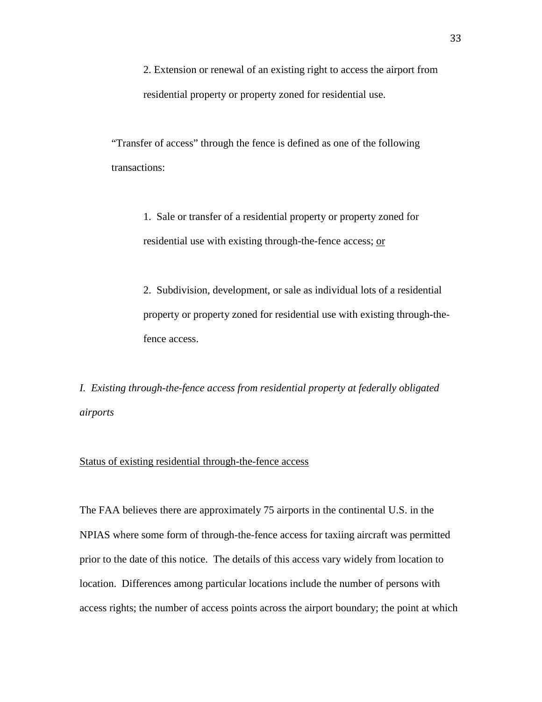2. Extension or renewal of an existing right to access the airport from residential property or property zoned for residential use.

"Transfer of access" through the fence is defined as one of the following transactions:

> 1. Sale or transfer of a residential property or property zoned for residential use with existing through-the-fence access; or

2. Subdivision, development, or sale as individual lots of a residential property or property zoned for residential use with existing through-thefence access.

*I. Existing through-the-fence access from residential property at federally obligated airports*

#### Status of existing residential through-the-fence access

The FAA believes there are approximately 75 airports in the continental U.S. in the NPIAS where some form of through-the-fence access for taxiing aircraft was permitted prior to the date of this notice. The details of this access vary widely from location to location. Differences among particular locations include the number of persons with access rights; the number of access points across the airport boundary; the point at which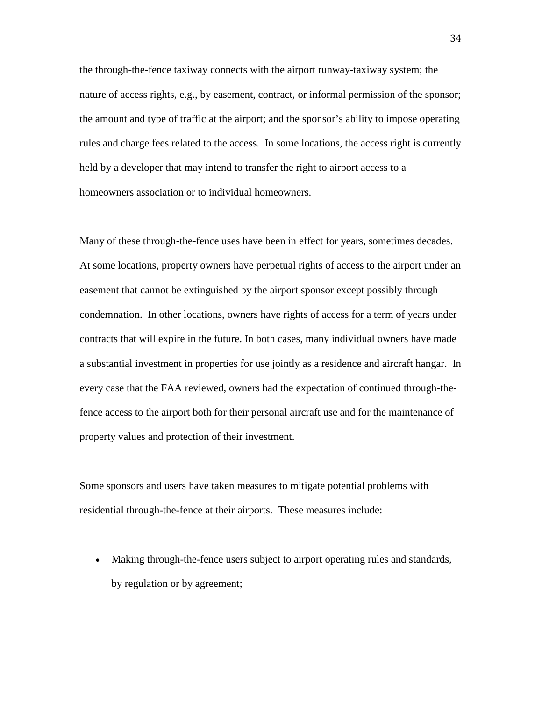the through-the-fence taxiway connects with the airport runway-taxiway system; the nature of access rights, e.g., by easement, contract, or informal permission of the sponsor; the amount and type of traffic at the airport; and the sponsor's ability to impose operating rules and charge fees related to the access. In some locations, the access right is currently held by a developer that may intend to transfer the right to airport access to a homeowners association or to individual homeowners.

Many of these through-the-fence uses have been in effect for years, sometimes decades. At some locations, property owners have perpetual rights of access to the airport under an easement that cannot be extinguished by the airport sponsor except possibly through condemnation. In other locations, owners have rights of access for a term of years under contracts that will expire in the future. In both cases, many individual owners have made a substantial investment in properties for use jointly as a residence and aircraft hangar. In every case that the FAA reviewed, owners had the expectation of continued through-thefence access to the airport both for their personal aircraft use and for the maintenance of property values and protection of their investment.

Some sponsors and users have taken measures to mitigate potential problems with residential through-the-fence at their airports. These measures include:

• Making through-the-fence users subject to airport operating rules and standards, by regulation or by agreement;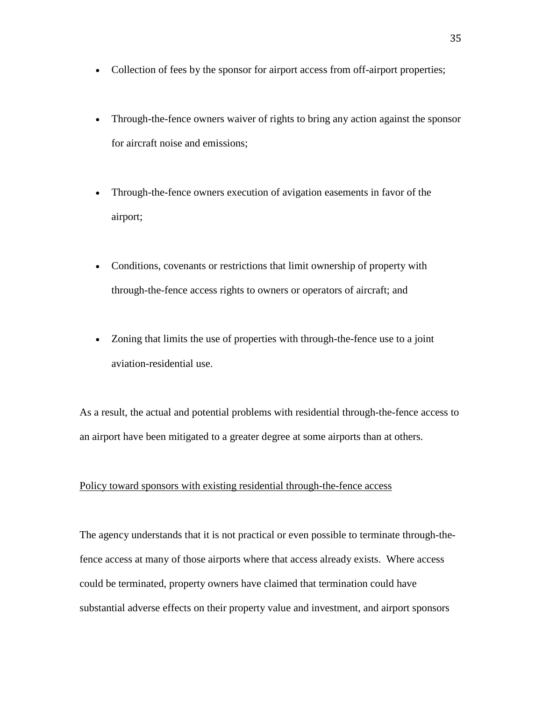- Collection of fees by the sponsor for airport access from off-airport properties;
- Through-the-fence owners waiver of rights to bring any action against the sponsor for aircraft noise and emissions;
- Through-the-fence owners execution of avigation easements in favor of the airport;
- Conditions, covenants or restrictions that limit ownership of property with through-the-fence access rights to owners or operators of aircraft; and
- Zoning that limits the use of properties with through-the-fence use to a joint aviation-residential use.

As a result, the actual and potential problems with residential through-the-fence access to an airport have been mitigated to a greater degree at some airports than at others.

#### Policy toward sponsors with existing residential through-the-fence access

The agency understands that it is not practical or even possible to terminate through-thefence access at many of those airports where that access already exists. Where access could be terminated, property owners have claimed that termination could have substantial adverse effects on their property value and investment, and airport sponsors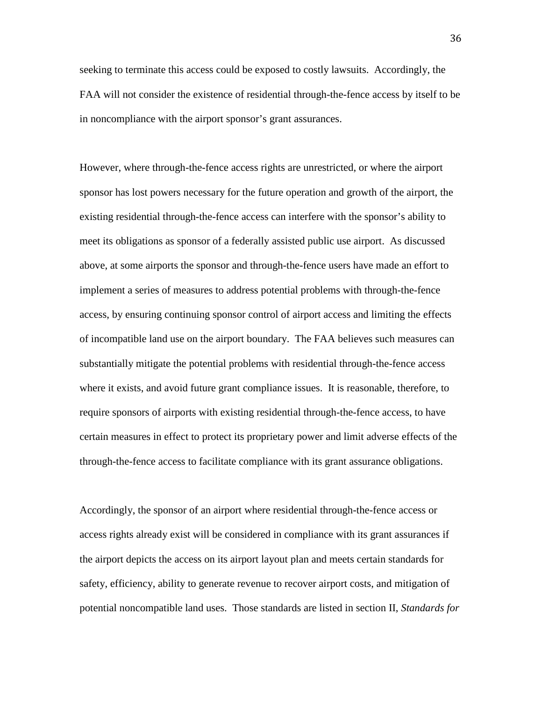seeking to terminate this access could be exposed to costly lawsuits. Accordingly, the FAA will not consider the existence of residential through-the-fence access by itself to be in noncompliance with the airport sponsor's grant assurances.

However, where through-the-fence access rights are unrestricted, or where the airport sponsor has lost powers necessary for the future operation and growth of the airport, the existing residential through-the-fence access can interfere with the sponsor's ability to meet its obligations as sponsor of a federally assisted public use airport. As discussed above, at some airports the sponsor and through-the-fence users have made an effort to implement a series of measures to address potential problems with through-the-fence access, by ensuring continuing sponsor control of airport access and limiting the effects of incompatible land use on the airport boundary. The FAA believes such measures can substantially mitigate the potential problems with residential through-the-fence access where it exists, and avoid future grant compliance issues. It is reasonable, therefore, to require sponsors of airports with existing residential through-the-fence access, to have certain measures in effect to protect its proprietary power and limit adverse effects of the through-the-fence access to facilitate compliance with its grant assurance obligations.

Accordingly, the sponsor of an airport where residential through-the-fence access or access rights already exist will be considered in compliance with its grant assurances if the airport depicts the access on its airport layout plan and meets certain standards for safety, efficiency, ability to generate revenue to recover airport costs, and mitigation of potential noncompatible land uses. Those standards are listed in section II, *Standards for*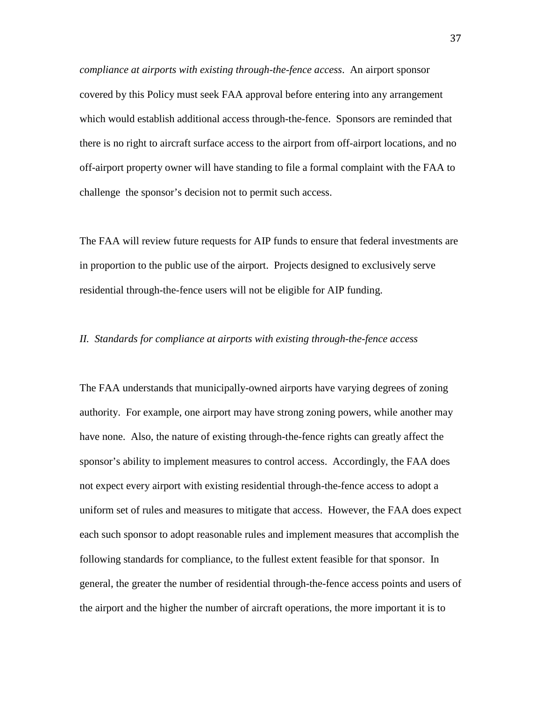*compliance at airports with existing through-the-fence access*. An airport sponsor covered by this Policy must seek FAA approval before entering into any arrangement which would establish additional access through-the-fence. Sponsors are reminded that there is no right to aircraft surface access to the airport from off-airport locations, and no off-airport property owner will have standing to file a formal complaint with the FAA to challenge the sponsor's decision not to permit such access.

The FAA will review future requests for AIP funds to ensure that federal investments are in proportion to the public use of the airport. Projects designed to exclusively serve residential through-the-fence users will not be eligible for AIP funding.

#### *II. Standards for compliance at airports with existing through-the-fence access*

The FAA understands that municipally-owned airports have varying degrees of zoning authority. For example, one airport may have strong zoning powers, while another may have none. Also, the nature of existing through-the-fence rights can greatly affect the sponsor's ability to implement measures to control access. Accordingly, the FAA does not expect every airport with existing residential through-the-fence access to adopt a uniform set of rules and measures to mitigate that access. However, the FAA does expect each such sponsor to adopt reasonable rules and implement measures that accomplish the following standards for compliance, to the fullest extent feasible for that sponsor. In general, the greater the number of residential through-the-fence access points and users of the airport and the higher the number of aircraft operations, the more important it is to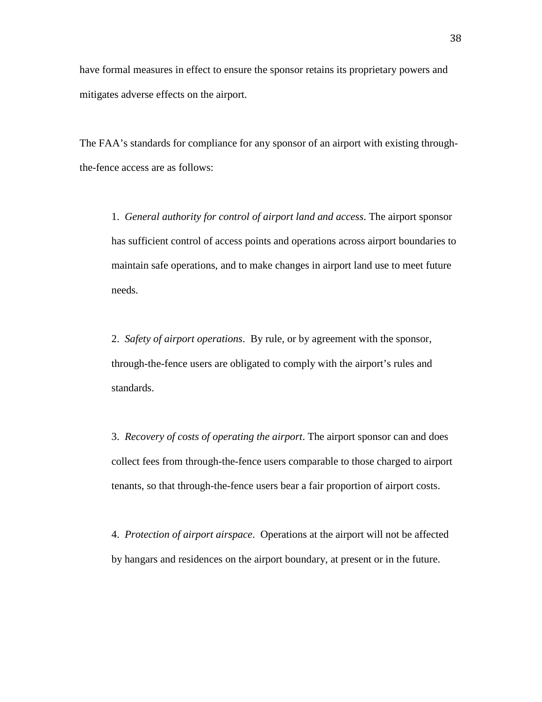have formal measures in effect to ensure the sponsor retains its proprietary powers and mitigates adverse effects on the airport.

The FAA's standards for compliance for any sponsor of an airport with existing throughthe-fence access are as follows:

1. *General authority for control of airport land and access*. The airport sponsor has sufficient control of access points and operations across airport boundaries to maintain safe operations, and to make changes in airport land use to meet future needs.

2. *Safety of airport operations*. By rule, or by agreement with the sponsor, through-the-fence users are obligated to comply with the airport's rules and standards.

3. *Recovery of costs of operating the airport*. The airport sponsor can and does collect fees from through-the-fence users comparable to those charged to airport tenants, so that through-the-fence users bear a fair proportion of airport costs.

4. *Protection of airport airspace*. Operations at the airport will not be affected by hangars and residences on the airport boundary, at present or in the future.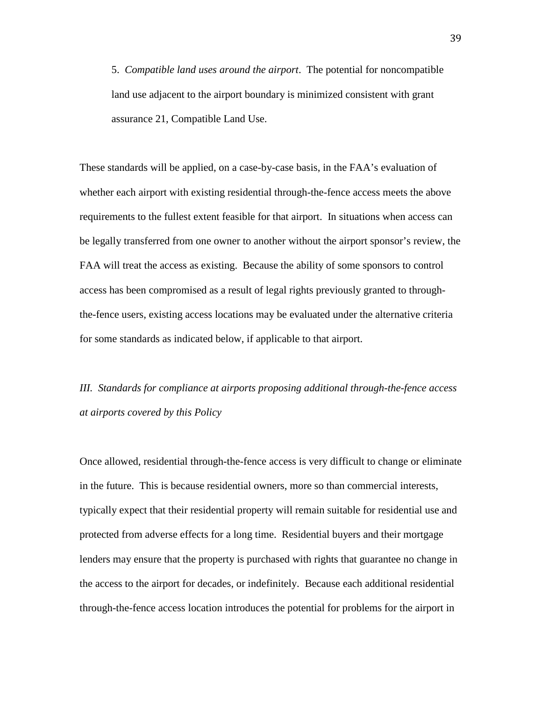5. *Compatible land uses around the airport*. The potential for noncompatible land use adjacent to the airport boundary is minimized consistent with grant assurance 21, Compatible Land Use.

These standards will be applied, on a case-by-case basis, in the FAA's evaluation of whether each airport with existing residential through-the-fence access meets the above requirements to the fullest extent feasible for that airport. In situations when access can be legally transferred from one owner to another without the airport sponsor's review, the FAA will treat the access as existing. Because the ability of some sponsors to control access has been compromised as a result of legal rights previously granted to throughthe-fence users, existing access locations may be evaluated under the alternative criteria for some standards as indicated below, if applicable to that airport.

*III. Standards for compliance at airports proposing additional through-the-fence access at airports covered by this Policy*

Once allowed, residential through-the-fence access is very difficult to change or eliminate in the future. This is because residential owners, more so than commercial interests, typically expect that their residential property will remain suitable for residential use and protected from adverse effects for a long time. Residential buyers and their mortgage lenders may ensure that the property is purchased with rights that guarantee no change in the access to the airport for decades, or indefinitely. Because each additional residential through-the-fence access location introduces the potential for problems for the airport in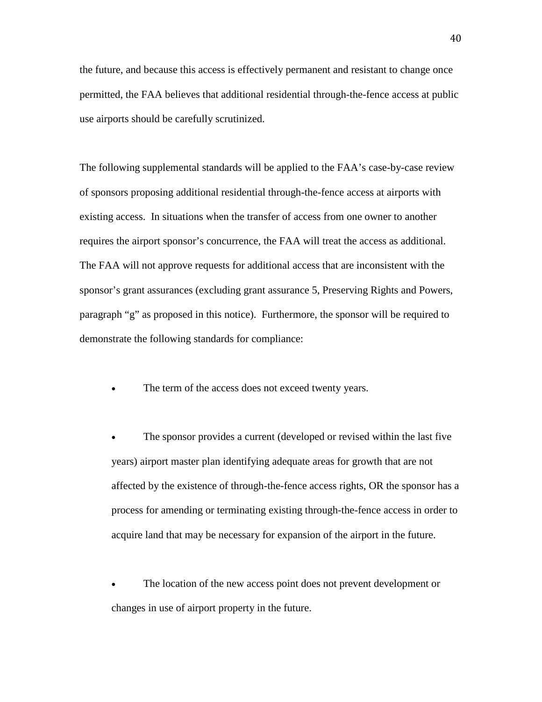the future, and because this access is effectively permanent and resistant to change once permitted, the FAA believes that additional residential through-the-fence access at public use airports should be carefully scrutinized.

The following supplemental standards will be applied to the FAA's case-by-case review of sponsors proposing additional residential through-the-fence access at airports with existing access. In situations when the transfer of access from one owner to another requires the airport sponsor's concurrence, the FAA will treat the access as additional. The FAA will not approve requests for additional access that are inconsistent with the sponsor's grant assurances (excluding grant assurance 5, Preserving Rights and Powers, paragraph "g" as proposed in this notice). Furthermore, the sponsor will be required to demonstrate the following standards for compliance:

The term of the access does not exceed twenty years.

The sponsor provides a current (developed or revised within the last five years) airport master plan identifying adequate areas for growth that are not affected by the existence of through-the-fence access rights, OR the sponsor has a process for amending or terminating existing through-the-fence access in order to acquire land that may be necessary for expansion of the airport in the future.

The location of the new access point does not prevent development or changes in use of airport property in the future.

40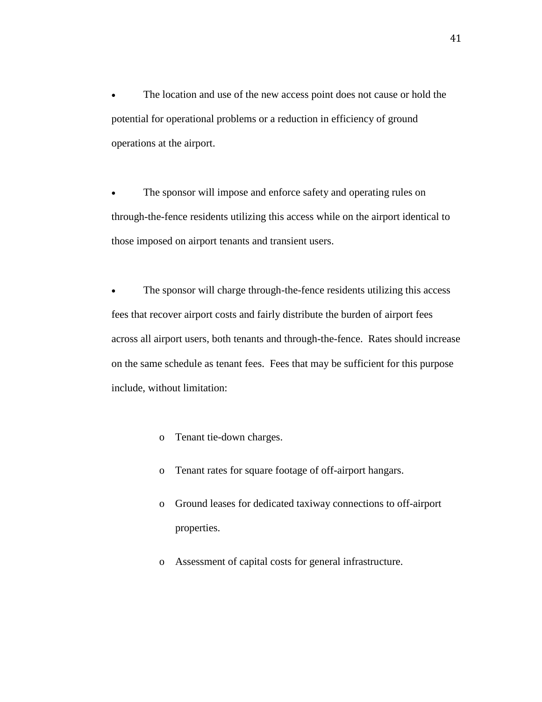The location and use of the new access point does not cause or hold the potential for operational problems or a reduction in efficiency of ground operations at the airport.

The sponsor will impose and enforce safety and operating rules on through-the-fence residents utilizing this access while on the airport identical to those imposed on airport tenants and transient users.

The sponsor will charge through-the-fence residents utilizing this access fees that recover airport costs and fairly distribute the burden of airport fees across all airport users, both tenants and through-the-fence. Rates should increase on the same schedule as tenant fees. Fees that may be sufficient for this purpose include, without limitation:

- o Tenant tie-down charges.
- o Tenant rates for square footage of off-airport hangars.
- o Ground leases for dedicated taxiway connections to off-airport properties.
- o Assessment of capital costs for general infrastructure.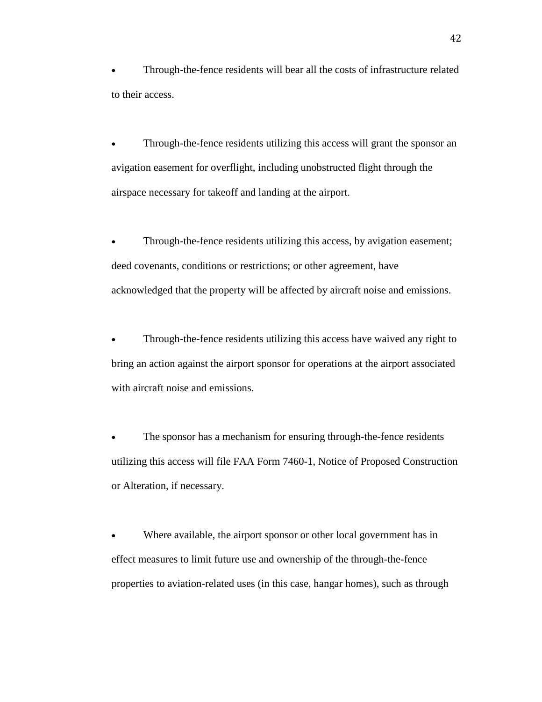• Through-the-fence residents will bear all the costs of infrastructure related to their access.

• Through-the-fence residents utilizing this access will grant the sponsor an avigation easement for overflight, including unobstructed flight through the airspace necessary for takeoff and landing at the airport.

Through-the-fence residents utilizing this access, by avigation easement; deed covenants, conditions or restrictions; or other agreement, have acknowledged that the property will be affected by aircraft noise and emissions.

• Through-the-fence residents utilizing this access have waived any right to bring an action against the airport sponsor for operations at the airport associated with aircraft noise and emissions.

The sponsor has a mechanism for ensuring through-the-fence residents utilizing this access will file FAA Form 7460-1, Notice of Proposed Construction or Alteration, if necessary.

Where available, the airport sponsor or other local government has in effect measures to limit future use and ownership of the through-the-fence properties to aviation-related uses (in this case, hangar homes), such as through

42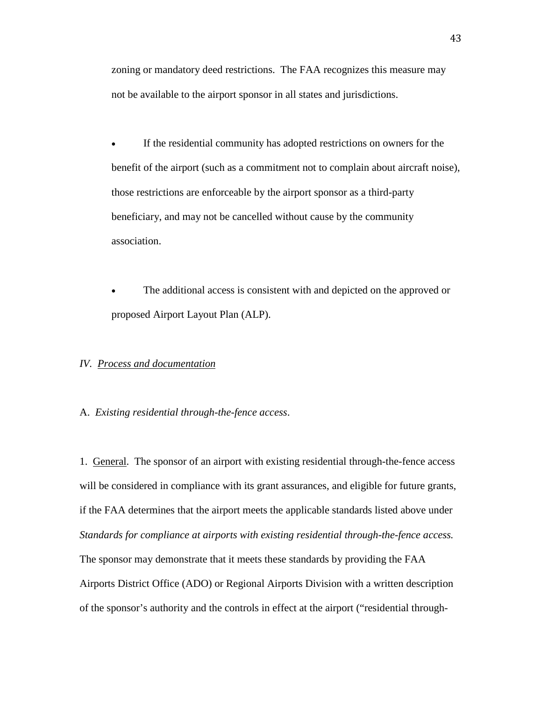zoning or mandatory deed restrictions. The FAA recognizes this measure may not be available to the airport sponsor in all states and jurisdictions.

If the residential community has adopted restrictions on owners for the benefit of the airport (such as a commitment not to complain about aircraft noise), those restrictions are enforceable by the airport sponsor as a third-party beneficiary, and may not be cancelled without cause by the community association.

The additional access is consistent with and depicted on the approved or proposed Airport Layout Plan (ALP).

#### *IV. Process and documentation*

#### A. *Existing residential through-the-fence access*.

1. General. The sponsor of an airport with existing residential through-the-fence access will be considered in compliance with its grant assurances, and eligible for future grants, if the FAA determines that the airport meets the applicable standards listed above under *Standards for compliance at airports with existing residential through-the-fence access.* The sponsor may demonstrate that it meets these standards by providing the FAA Airports District Office (ADO) or Regional Airports Division with a written description of the sponsor's authority and the controls in effect at the airport ("residential through-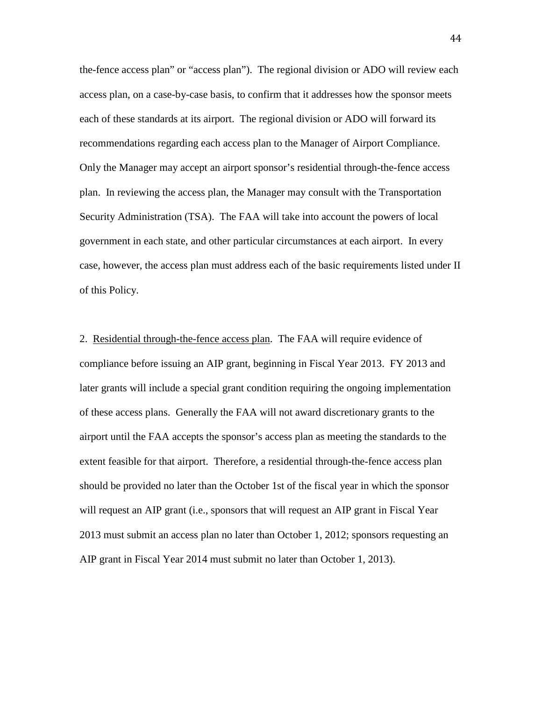the-fence access plan" or "access plan"). The regional division or ADO will review each access plan, on a case-by-case basis, to confirm that it addresses how the sponsor meets each of these standards at its airport. The regional division or ADO will forward its recommendations regarding each access plan to the Manager of Airport Compliance. Only the Manager may accept an airport sponsor's residential through-the-fence access plan. In reviewing the access plan, the Manager may consult with the Transportation Security Administration (TSA). The FAA will take into account the powers of local government in each state, and other particular circumstances at each airport. In every case, however, the access plan must address each of the basic requirements listed under II of this Policy.

2. Residential through-the-fence access plan. The FAA will require evidence of compliance before issuing an AIP grant, beginning in Fiscal Year 2013. FY 2013 and later grants will include a special grant condition requiring the ongoing implementation of these access plans. Generally the FAA will not award discretionary grants to the airport until the FAA accepts the sponsor's access plan as meeting the standards to the extent feasible for that airport. Therefore, a residential through-the-fence access plan should be provided no later than the October 1st of the fiscal year in which the sponsor will request an AIP grant (i.e., sponsors that will request an AIP grant in Fiscal Year 2013 must submit an access plan no later than October 1, 2012; sponsors requesting an AIP grant in Fiscal Year 2014 must submit no later than October 1, 2013).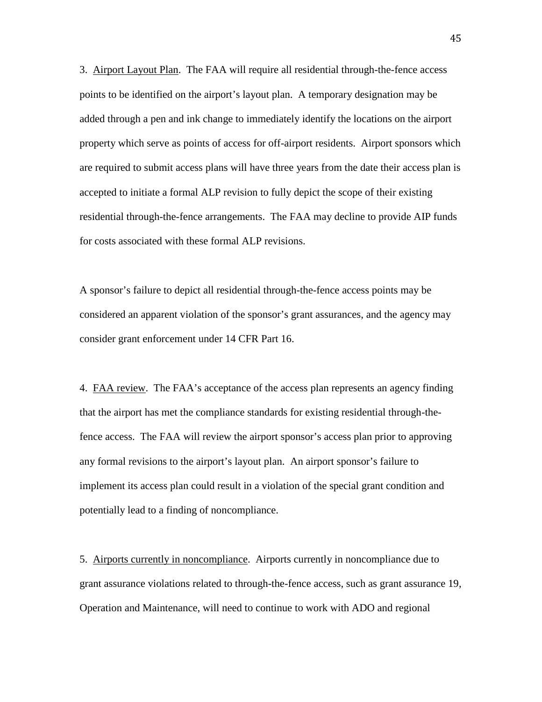3. Airport Layout Plan. The FAA will require all residential through-the-fence access points to be identified on the airport's layout plan. A temporary designation may be added through a pen and ink change to immediately identify the locations on the airport property which serve as points of access for off-airport residents. Airport sponsors which are required to submit access plans will have three years from the date their access plan is accepted to initiate a formal ALP revision to fully depict the scope of their existing residential through-the-fence arrangements. The FAA may decline to provide AIP funds for costs associated with these formal ALP revisions.

A sponsor's failure to depict all residential through-the-fence access points may be considered an apparent violation of the sponsor's grant assurances, and the agency may consider grant enforcement under 14 CFR Part 16.

4. FAA review. The FAA's acceptance of the access plan represents an agency finding that the airport has met the compliance standards for existing residential through-thefence access. The FAA will review the airport sponsor's access plan prior to approving any formal revisions to the airport's layout plan. An airport sponsor's failure to implement its access plan could result in a violation of the special grant condition and potentially lead to a finding of noncompliance.

5. Airports currently in noncompliance. Airports currently in noncompliance due to grant assurance violations related to through-the-fence access, such as grant assurance 19, Operation and Maintenance, will need to continue to work with ADO and regional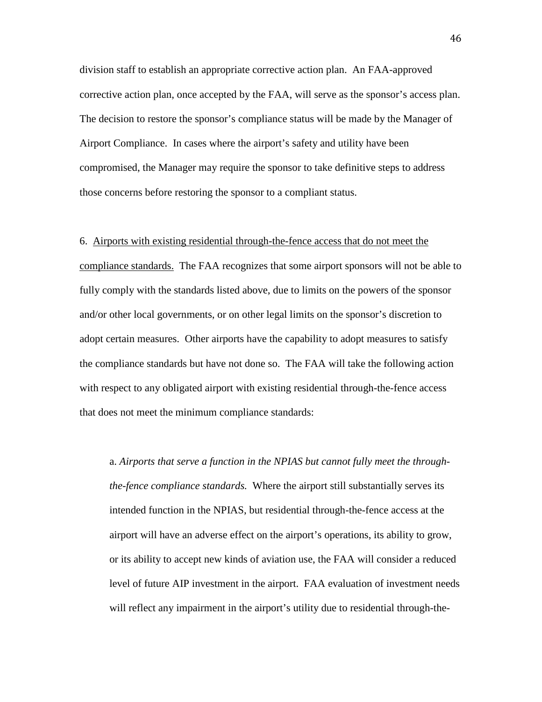division staff to establish an appropriate corrective action plan. An FAA-approved corrective action plan, once accepted by the FAA, will serve as the sponsor's access plan. The decision to restore the sponsor's compliance status will be made by the Manager of Airport Compliance. In cases where the airport's safety and utility have been compromised, the Manager may require the sponsor to take definitive steps to address those concerns before restoring the sponsor to a compliant status.

#### 6. Airports with existing residential through-the-fence access that do not meet the

compliance standards. The FAA recognizes that some airport sponsors will not be able to fully comply with the standards listed above, due to limits on the powers of the sponsor and/or other local governments, or on other legal limits on the sponsor's discretion to adopt certain measures. Other airports have the capability to adopt measures to satisfy the compliance standards but have not done so. The FAA will take the following action with respect to any obligated airport with existing residential through-the-fence access that does not meet the minimum compliance standards:

a. *Airports that serve a function in the NPIAS but cannot fully meet the throughthe-fence compliance standards.* Where the airport still substantially serves its intended function in the NPIAS, but residential through-the-fence access at the airport will have an adverse effect on the airport's operations, its ability to grow, or its ability to accept new kinds of aviation use, the FAA will consider a reduced level of future AIP investment in the airport. FAA evaluation of investment needs will reflect any impairment in the airport's utility due to residential through-the-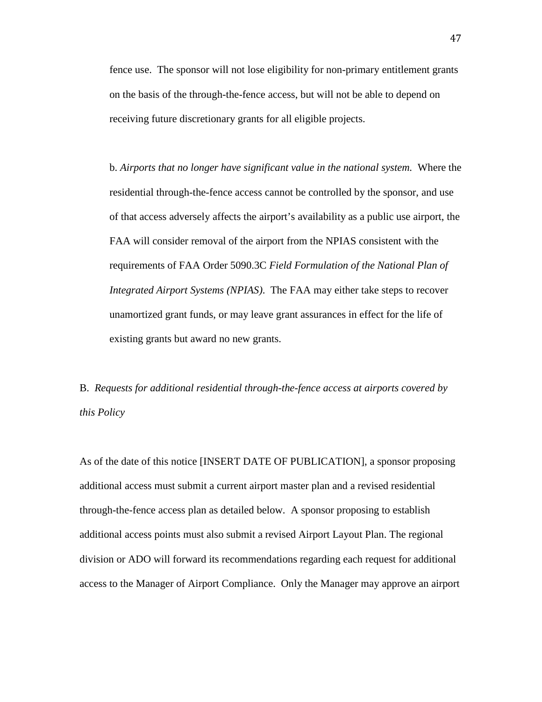fence use. The sponsor will not lose eligibility for non-primary entitlement grants on the basis of the through-the-fence access, but will not be able to depend on receiving future discretionary grants for all eligible projects.

b. *Airports that no longer have significant value in the national system.* Where the residential through-the-fence access cannot be controlled by the sponsor, and use of that access adversely affects the airport's availability as a public use airport, the FAA will consider removal of the airport from the NPIAS consistent with the requirements of FAA Order 5090.3C *Field Formulation of the National Plan of Integrated Airport Systems (NPIAS)*. The FAA may either take steps to recover unamortized grant funds, or may leave grant assurances in effect for the life of existing grants but award no new grants.

## B. *Requests for additional residential through-the-fence access at airports covered by this Policy*

As of the date of this notice [INSERT DATE OF PUBLICATION], a sponsor proposing additional access must submit a current airport master plan and a revised residential through-the-fence access plan as detailed below. A sponsor proposing to establish additional access points must also submit a revised Airport Layout Plan. The regional division or ADO will forward its recommendations regarding each request for additional access to the Manager of Airport Compliance. Only the Manager may approve an airport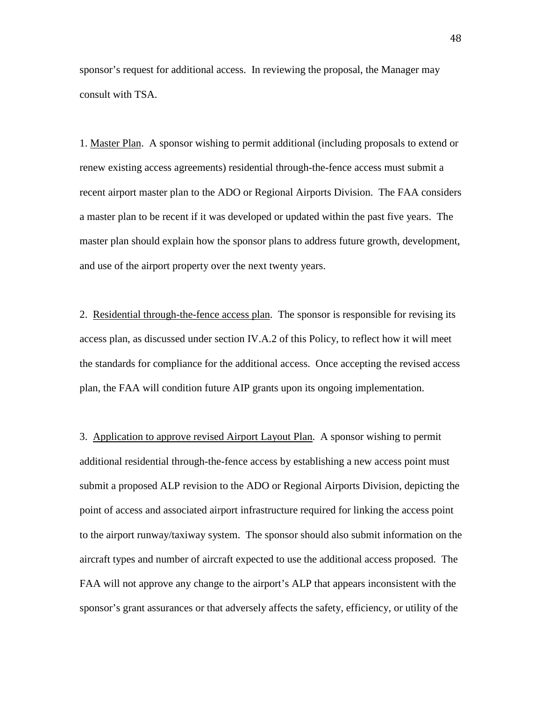sponsor's request for additional access. In reviewing the proposal, the Manager may consult with TSA.

1. Master Plan. A sponsor wishing to permit additional (including proposals to extend or renew existing access agreements) residential through-the-fence access must submit a recent airport master plan to the ADO or Regional Airports Division. The FAA considers a master plan to be recent if it was developed or updated within the past five years. The master plan should explain how the sponsor plans to address future growth, development, and use of the airport property over the next twenty years.

2. Residential through-the-fence access plan. The sponsor is responsible for revising its access plan, as discussed under section IV.A.2 of this Policy, to reflect how it will meet the standards for compliance for the additional access. Once accepting the revised access plan, the FAA will condition future AIP grants upon its ongoing implementation.

3. Application to approve revised Airport Layout Plan. A sponsor wishing to permit additional residential through-the-fence access by establishing a new access point must submit a proposed ALP revision to the ADO or Regional Airports Division, depicting the point of access and associated airport infrastructure required for linking the access point to the airport runway/taxiway system. The sponsor should also submit information on the aircraft types and number of aircraft expected to use the additional access proposed. The FAA will not approve any change to the airport's ALP that appears inconsistent with the sponsor's grant assurances or that adversely affects the safety, efficiency, or utility of the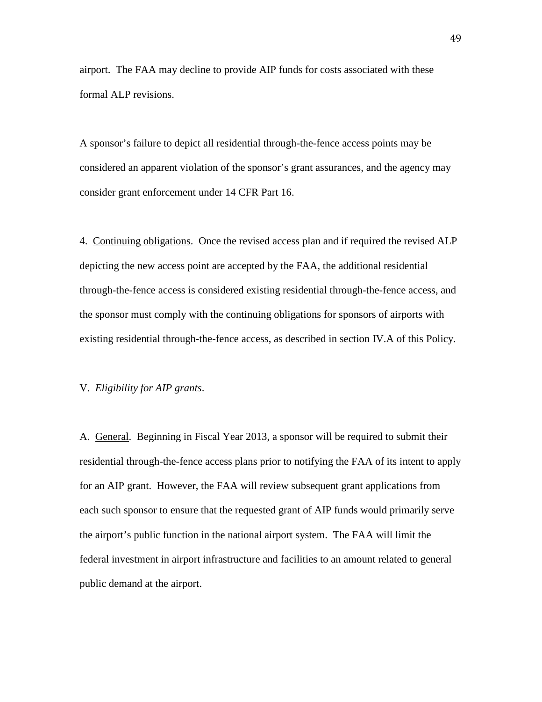airport. The FAA may decline to provide AIP funds for costs associated with these formal ALP revisions.

A sponsor's failure to depict all residential through-the-fence access points may be considered an apparent violation of the sponsor's grant assurances, and the agency may consider grant enforcement under 14 CFR Part 16.

4. Continuing obligations. Once the revised access plan and if required the revised ALP depicting the new access point are accepted by the FAA, the additional residential through-the-fence access is considered existing residential through-the-fence access, and the sponsor must comply with the continuing obligations for sponsors of airports with existing residential through-the-fence access, as described in section IV.A of this Policy.

#### V. *Eligibility for AIP grants*.

A. General. Beginning in Fiscal Year 2013, a sponsor will be required to submit their residential through-the-fence access plans prior to notifying the FAA of its intent to apply for an AIP grant. However, the FAA will review subsequent grant applications from each such sponsor to ensure that the requested grant of AIP funds would primarily serve the airport's public function in the national airport system. The FAA will limit the federal investment in airport infrastructure and facilities to an amount related to general public demand at the airport.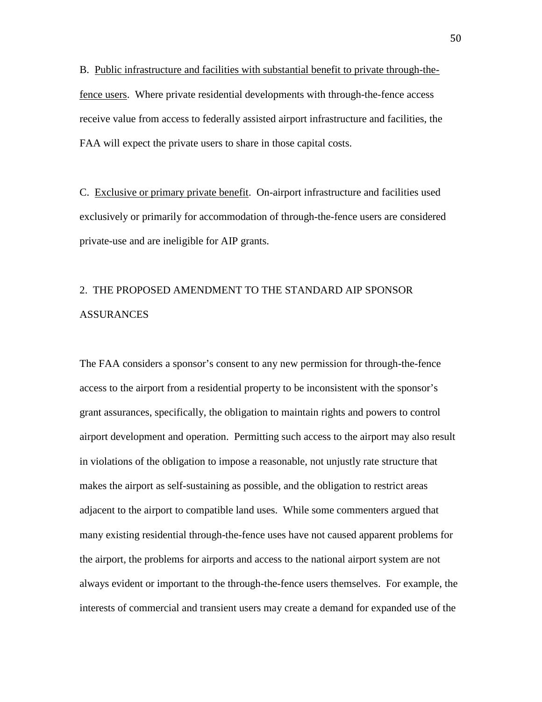B. Public infrastructure and facilities with substantial benefit to private through-thefence users. Where private residential developments with through-the-fence access receive value from access to federally assisted airport infrastructure and facilities, the FAA will expect the private users to share in those capital costs.

C. Exclusive or primary private benefit. On-airport infrastructure and facilities used exclusively or primarily for accommodation of through-the-fence users are considered private-use and are ineligible for AIP grants.

# 2. THE PROPOSED AMENDMENT TO THE STANDARD AIP SPONSOR ASSURANCES

The FAA considers a sponsor's consent to any new permission for through-the-fence access to the airport from a residential property to be inconsistent with the sponsor's grant assurances, specifically, the obligation to maintain rights and powers to control airport development and operation. Permitting such access to the airport may also result in violations of the obligation to impose a reasonable, not unjustly rate structure that makes the airport as self-sustaining as possible, and the obligation to restrict areas adjacent to the airport to compatible land uses. While some commenters argued that many existing residential through-the-fence uses have not caused apparent problems for the airport, the problems for airports and access to the national airport system are not always evident or important to the through-the-fence users themselves. For example, the interests of commercial and transient users may create a demand for expanded use of the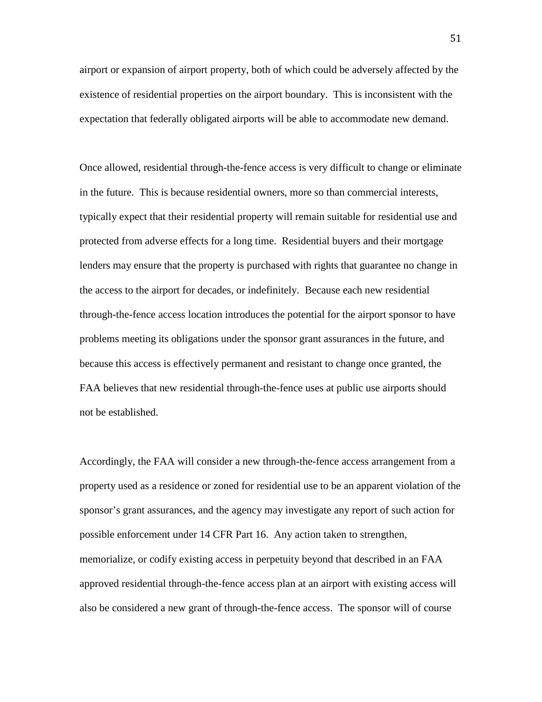airport or expansion of airport property, both of which could be adversely affected by the existence of residential properties on the airport boundary. This is inconsistent with the expectation that federally obligated airports will be able to accommodate new demand.

Once allowed, residential through-the-fence access is very difficult to change or eliminate in the future. This is because residential owners, more so than commercial interests, typically expect that their residential property will remain suitable for residential use and protected from adverse effects for a long time. Residential buyers and their mortgage lenders may ensure that the property is purchased with rights that guarantee no change in the access to the airport for decades, or indefinitely. Because each new residential through-the-fence access location introduces the potential for the airport sponsor to have problems meeting its obligations under the sponsor grant assurances in the future, and because this access is effectively permanent and resistant to change once granted, the FAA believes that new residential through-the-fence uses at public use airports should not be established.

Accordingly, the FAA will consider a new through-the-fence access arrangement from a property used as a residence or zoned for residential use to be an apparent violation of the sponsor's grant assurances, and the agency may investigate any report of such action for possible enforcement under 14 CFR Part 16. Any action taken to strengthen, memorialize, or codify existing access in perpetuity beyond that described in an FAA approved residential through-the-fence access plan at an airport with existing access will also be considered a new grant of through-the-fence access. The sponsor will of course